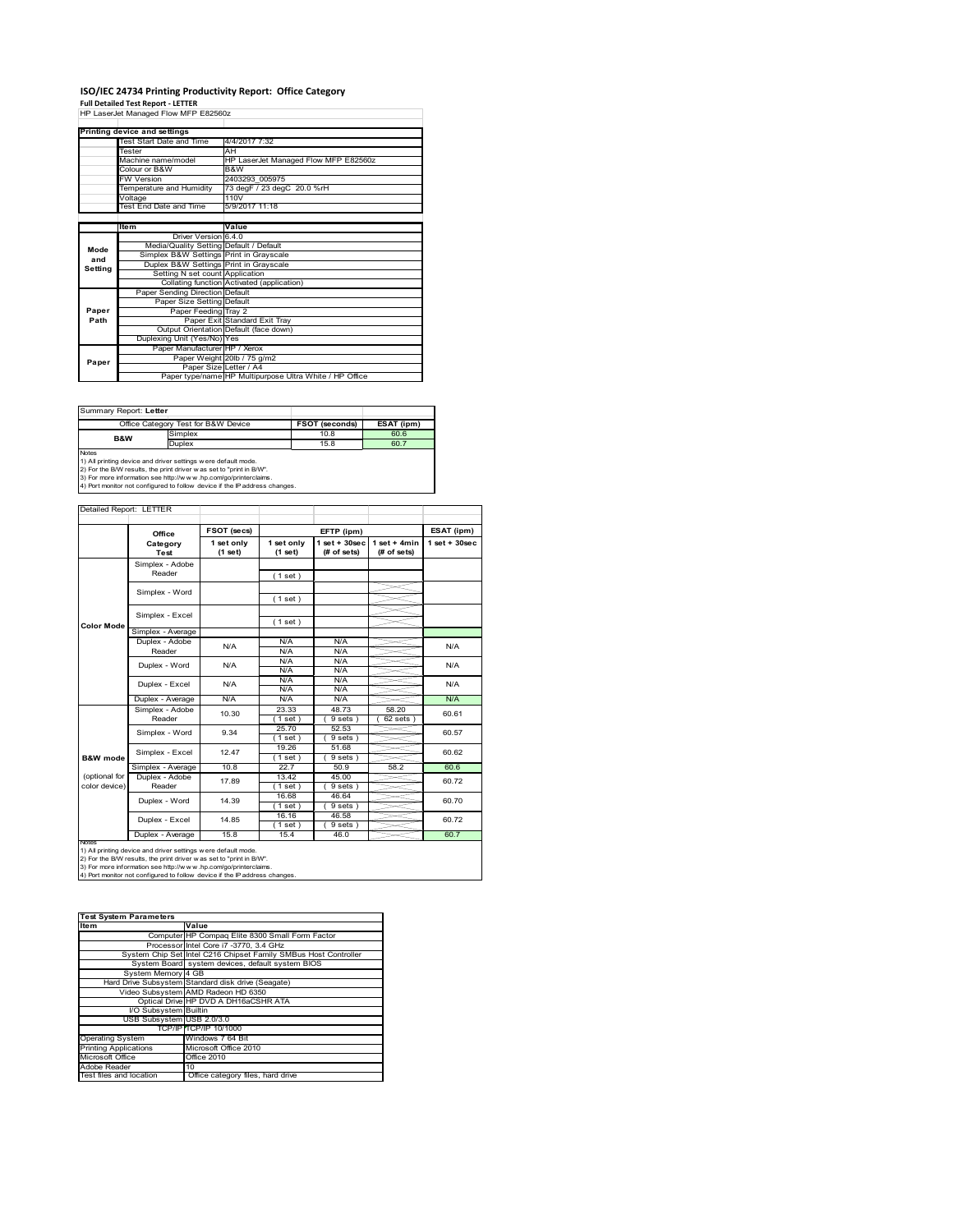# **ISO/IEC 24734 Printing Productivity Report: Office Category Full Detailed Test Report ‐ LETTER** HP LaserJet Managed Flow MFP E82560z

|         | Printing device and settings            |                                                         |  |  |
|---------|-----------------------------------------|---------------------------------------------------------|--|--|
|         | Test Start Date and Time                | 4/4/2017 7:32                                           |  |  |
|         | Tester                                  | AH                                                      |  |  |
|         | Machine name/model                      | HP LaserJet Managed Flow MFP E82560z                    |  |  |
|         | Colour or B&W                           | B&W                                                     |  |  |
|         | <b>FW Version</b>                       | 2403293 005975                                          |  |  |
|         | Temperature and Humidity                | 73 degF / 23 degC 20.0 %rH                              |  |  |
|         | Voltage                                 | 110V                                                    |  |  |
|         | Test End Date and Time                  | 5/9/2017 11:18                                          |  |  |
|         |                                         |                                                         |  |  |
|         | ltem                                    | Value                                                   |  |  |
|         | Driver Version 640                      |                                                         |  |  |
| Mode    | Media/Quality Setting Default / Default |                                                         |  |  |
| and     | Simplex B&W Settings Print in Grayscale |                                                         |  |  |
| Setting | Duplex B&W Settings Print in Grayscale  |                                                         |  |  |
|         | Setting N set count Application         |                                                         |  |  |
|         |                                         | Collating function Activated (application)              |  |  |
|         | Paper Sending Direction Default         |                                                         |  |  |
|         | Paper Size Setting Default              |                                                         |  |  |
| Paper   | Paper Feeding Tray 2                    |                                                         |  |  |
| Path    |                                         | Paper Exit Standard Exit Tray                           |  |  |
|         |                                         | Output Orientation Default (face down)                  |  |  |
|         | Duplexing Unit (Yes/No) Yes             |                                                         |  |  |
|         | Paper Manufacturer HP / Xerox           |                                                         |  |  |
| Paper   |                                         | Paper Weight 20lb / 75 g/m2                             |  |  |
|         | Paper Size Letter / A4                  |                                                         |  |  |
|         |                                         | Paper type/name HP Multipurpose Ultra White / HP Office |  |  |

Summary Report: **Letter**

| Office Category Test for B&W Device |                                                                            | <b>FSOT (seconds)</b> | ESAT (ipm) |
|-------------------------------------|----------------------------------------------------------------------------|-----------------------|------------|
| <b>B&amp;W</b>                      | Simplex                                                                    | 10.8                  | 60.6       |
|                                     | <b>Duplex</b>                                                              | 15.8                  | 60.7       |
| <b>Notes</b>                        |                                                                            |                       |            |
|                                     | 1) All printing device and driver settings were default mode.              |                       |            |
|                                     | 2) For the B/W results, the print driver was set to "print in B/W".        |                       |            |
|                                     | 3) For more information see http://w w w .hp.com/go/printerclaims.         |                       |            |
|                                     | 4) Port monitor not configured to follow device if the IP address changes. |                       |            |

| Detailed Report: LETTER |  |
|-------------------------|--|
|-------------------------|--|

|                                | Office                    | FSOT (secs)           |                       | EFTP (ipm)                        |                               | ESAT (ipm)         |
|--------------------------------|---------------------------|-----------------------|-----------------------|-----------------------------------|-------------------------------|--------------------|
|                                | Category<br>Test          | 1 set only<br>(1 set) | 1 set only<br>(1 set) | $1$ set + $30$ sec<br>(# of sets) | $1$ set + 4min<br>(# of sets) | $1$ set + $30$ sec |
|                                | Simplex - Adobe<br>Reader |                       | (1 set)               |                                   |                               |                    |
|                                | Simplex - Word            |                       | (1 set)               |                                   |                               |                    |
| <b>Color Mode</b>              | Simplex - Excel           |                       | (1 set)               |                                   |                               |                    |
|                                | Simplex - Average         |                       |                       |                                   |                               |                    |
|                                | Duplex - Adobe<br>Reader  | N/A                   | N/A<br>N/A            | N/A<br>N/A                        |                               | N/A                |
|                                | Duplex - Word             | N/A                   | N/A<br>N/A            | N/A<br>N/A                        |                               | N/A                |
|                                | Duplex - Excel            | N/A                   | N/A<br>N/A            | N/A<br>N/A                        |                               | N/A                |
|                                | Duplex - Average          | N/A                   | N/A                   | N/A                               |                               | N/A                |
|                                | Simplex - Adobe<br>Reader | 10.30                 | 23.33<br>$1$ set)     | 48.73<br>$9 sets$ )               | 58.20<br>$62$ sets $)$        | 60.61              |
|                                | Simplex - Word            | 9.34                  | 25.70<br>$1$ set)     | 52.53<br>9 sets)                  |                               | 60.57              |
| <b>B&amp;W</b> mode            | Simplex - Excel           | 12.47                 | 19.26<br>$1$ set)     | 51.68<br>9 sets)                  |                               | 60.62              |
|                                | Simplex - Average         | 10.8                  | 22.7                  | 50.9                              | 58.2                          | 60.6               |
| (optional for<br>color device) | Duplex - Adobe<br>Reader  | 17.89                 | 13.42<br>$1$ set)     | 45.00<br>9 sets)                  |                               | 60.72              |
|                                | Duplex - Word             | 14.39                 | 16.68<br>(1 set )     | 46.64<br>9 sets)                  |                               | 60.70              |
|                                | Duplex - Excel            | 14.85                 | 16.16<br>$1$ set)     | 46.58<br>$9 sets$ )               |                               | 60.72              |
| <b>BIATOR</b>                  | Duplex - Average          | 15.8                  | 15.4                  | 46.0                              |                               | 60.7               |

Notes<br>1) All printing device and driver settings were default mode.<br>2) For the B/W results, the print driver was set to "print in B/W".<br>3) For more information see http://www.hp.com/go/printerclaims.<br>4) Por more informati

| <b>Test System Parameters</b> |                                                                 |  |  |  |  |
|-------------------------------|-----------------------------------------------------------------|--|--|--|--|
| <b>Item</b>                   | Value                                                           |  |  |  |  |
|                               | Computer HP Compaq Elite 8300 Small Form Factor                 |  |  |  |  |
|                               | Processor Intel Core i7 -3770, 3.4 GHz                          |  |  |  |  |
|                               | System Chip Set Intel C216 Chipset Family SMBus Host Controller |  |  |  |  |
|                               | System Board system devices, default system BIOS                |  |  |  |  |
| System Memory 4 GB            |                                                                 |  |  |  |  |
|                               | Hard Drive Subsystem Standard disk drive (Seagate)              |  |  |  |  |
|                               | Video Subsystem AMD Radeon HD 6350                              |  |  |  |  |
|                               | Optical Drive HP DVD A DH16aCSHR ATA                            |  |  |  |  |
| I/O Subsystem Builtin         |                                                                 |  |  |  |  |
| USB Subsystem USB 2.0/3.0     |                                                                 |  |  |  |  |
|                               | TCP/IP TCP/IP 10/1000                                           |  |  |  |  |
| <b>Operating System</b>       | Windows 7 64 Bit                                                |  |  |  |  |
| <b>Printing Applications</b>  | Microsoft Office 2010                                           |  |  |  |  |
| Microsoft Office              | Office 2010                                                     |  |  |  |  |
| Adobe Reader                  | 10                                                              |  |  |  |  |
| Test files and location       | Office category files, hard drive                               |  |  |  |  |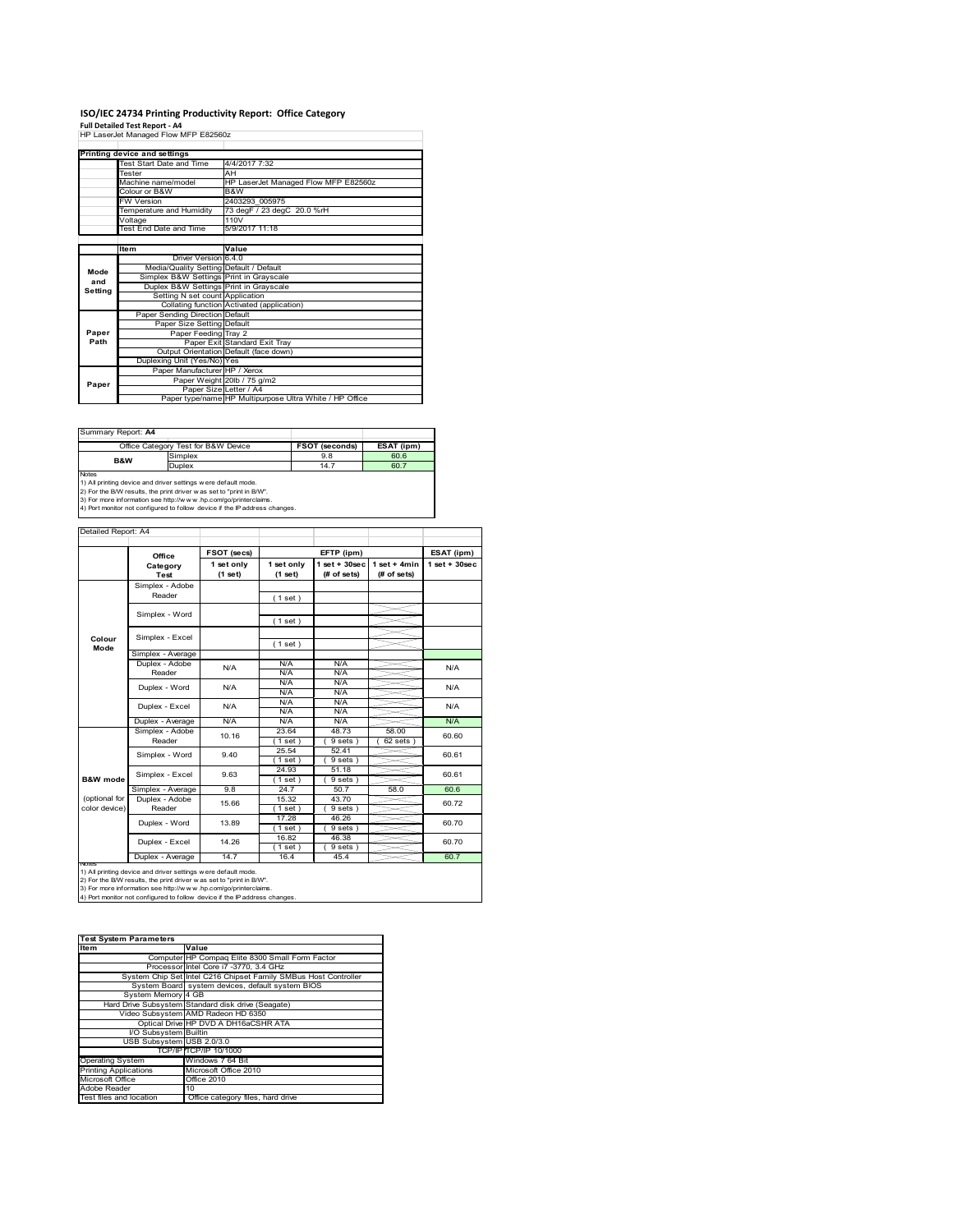# **ISO/IEC 24734 Printing Productivity Report: Office Category Full Detailed Test Report ‐ A4** HP LaserJet Managed Flow MFP E82560z

|         | Printing device and settings            |                                                         |  |  |
|---------|-----------------------------------------|---------------------------------------------------------|--|--|
|         | Test Start Date and Time                | 4/4/2017 7:32                                           |  |  |
|         | Tester                                  | AH                                                      |  |  |
|         | Machine name/model                      | HP LaserJet Managed Flow MFP E82560z                    |  |  |
|         | Colour or B&W                           | B&W                                                     |  |  |
|         | <b>FW Version</b>                       | 2403293 005975                                          |  |  |
|         | Temperature and Humidity                | 73 degF / 23 degC 20.0 %rH                              |  |  |
|         | Voltage                                 | 110V                                                    |  |  |
|         | <b>Test End Date and Time</b>           | 5/9/2017 11:18                                          |  |  |
|         |                                         |                                                         |  |  |
|         | <b>Item</b>                             | Value                                                   |  |  |
|         | Driver Version 640                      |                                                         |  |  |
| Mode    | Media/Quality Setting Default / Default |                                                         |  |  |
| and     | Simplex B&W Settings Print in Grayscale |                                                         |  |  |
| Setting | Duplex B&W Settings Print in Grayscale  |                                                         |  |  |
|         | Setting N set count Application         |                                                         |  |  |
|         |                                         | Collating function Activated (application)              |  |  |
|         | Paper Sending Direction Default         |                                                         |  |  |
|         | Paper Size Setting Default              |                                                         |  |  |
| Paper   | Paper Feeding Tray 2                    |                                                         |  |  |
| Path    |                                         | Paper Exit Standard Exit Tray                           |  |  |
|         |                                         | Output Orientation Default (face down)                  |  |  |
|         | Duplexing Unit (Yes/No) Yes             |                                                         |  |  |
|         | Paper Manufacturer HP / Xerox           |                                                         |  |  |
| Paper   |                                         | Paper Weight 20lb / 75 g/m2                             |  |  |
|         |                                         | Paper Size Letter / A4                                  |  |  |
|         |                                         | Paper type/name HP Multipurpose Ultra White / HP Office |  |  |

| Summary Report: A4 |                                                                                                                                                                                                         |                       |            |  |
|--------------------|---------------------------------------------------------------------------------------------------------------------------------------------------------------------------------------------------------|-----------------------|------------|--|
|                    | Office Category Test for B&W Device                                                                                                                                                                     | <b>FSOT (seconds)</b> | ESAT (ipm) |  |
| <b>B&amp;W</b>     | Simplex                                                                                                                                                                                                 | 9.8                   | 60.6       |  |
|                    | <b>Duplex</b>                                                                                                                                                                                           | 14.7                  | 60.7       |  |
| <b>Notes</b>       | 1) All printing device and driver settings were default mode.<br>2) For the B/W results, the print driver was set to "print in B/W".<br>3) For more information see http://www.hp.com/go/printerclaims. |                       |            |  |
|                    | 4) Port monitor not configured to follow device if the IP address changes.                                                                                                                              |                       |            |  |

|                     | FSOT (secs)<br>EFTP (ipm)<br>Office |                       | ESAT (ipm)            |                                |                               |                    |
|---------------------|-------------------------------------|-----------------------|-----------------------|--------------------------------|-------------------------------|--------------------|
|                     | Category<br><b>Test</b>             | 1 set only<br>(1 set) | 1 set only<br>(1 set) | $1$ set + 30sec<br>(# of sets) | $1$ set + 4min<br>(# of sets) | $1$ set + $30$ sec |
|                     | Simplex - Adobe                     |                       |                       |                                |                               |                    |
|                     | Reader                              |                       | (1 set)               |                                |                               |                    |
|                     | Simplex - Word                      |                       |                       |                                |                               |                    |
|                     |                                     |                       | (1 set)               |                                |                               |                    |
| Colour              | Simplex - Excel                     |                       |                       |                                |                               |                    |
| Mode                |                                     |                       | (1 set)               |                                |                               |                    |
|                     | Simplex - Average                   |                       |                       |                                |                               |                    |
|                     | Duplex - Adobe<br>Reader            | N/A                   | N/A<br>N/A            | N/A<br>N/A                     |                               | N/A                |
|                     |                                     |                       |                       |                                |                               |                    |
|                     | Duplex - Word                       | N/A                   | N/A<br>N/A            | N/A<br>N/A                     |                               | N/A                |
|                     |                                     |                       | N/A                   | N/A                            |                               |                    |
|                     | Duplex - Excel                      | N/A                   | N/A                   | N/A                            |                               | N/A                |
|                     | Duplex - Average                    | N/A                   | N/A                   | N/A                            |                               | N/A                |
|                     | Simplex - Adobe                     | 10.16                 | 23.64                 | 48.73                          | 58.00                         | 60.60              |
|                     | Reader                              |                       | (1 set)               | 9 sets)                        | 62 sets                       |                    |
|                     | Simplex - Word                      | 9.40                  | 25.54                 | 52.41                          |                               | 60.61              |
|                     |                                     |                       | 1 set                 | $9 sets$ )                     |                               |                    |
|                     | Simplex - Excel                     | 9.63                  | 24.93                 | 51.18                          |                               | 60.61              |
| <b>B&amp;W</b> mode |                                     |                       | (1 set )              | $9 sets$ )                     |                               |                    |
|                     | Simplex - Average                   | 9.8                   | 24.7                  | 50.7                           | 58.0                          | 60.6               |
| (optional for       | Duplex - Adobe                      | 15.66                 | 15.32                 | 43.70                          |                               | 60.72              |
| color device)       | Reader                              |                       | (1 set)               | $9 sets$ )                     |                               |                    |
|                     | Duplex - Word                       | 13.89                 | 17.28                 | 46.26                          |                               | 60.70              |
|                     |                                     |                       | (1 set)               | 9 sets)                        |                               |                    |
|                     | Duplex - Excel                      | 14.26                 | 16.82                 | 46.38                          |                               | 60.70              |
|                     |                                     |                       | $1$ set)              | $9 sets$ )                     |                               |                    |
|                     | Duplex - Average                    | 14.7                  | 16.4                  | 45.4                           |                               | 60.7               |

| <b>Test System Parameters</b> |                                                                 |  |  |
|-------------------------------|-----------------------------------------------------------------|--|--|
| <b>Item</b>                   | Value                                                           |  |  |
|                               | Computer HP Compaq Elite 8300 Small Form Factor                 |  |  |
|                               | Processor Intel Core i7 -3770, 3.4 GHz                          |  |  |
|                               | System Chip Set Intel C216 Chipset Family SMBus Host Controller |  |  |
|                               | System Board system devices, default system BIOS                |  |  |
| System Memory 4 GB            |                                                                 |  |  |
|                               | Hard Drive Subsystem Standard disk drive (Seagate)              |  |  |
|                               | Video Subsystem AMD Radeon HD 6350                              |  |  |
|                               | Optical Drive HP DVD A DH16aCSHR ATA                            |  |  |
| I/O Subsystem Builtin         |                                                                 |  |  |
| USB Subsystem USB 2.0/3.0     |                                                                 |  |  |
|                               | TCP/IPITCP/IP 10/1000                                           |  |  |
| <b>Operating System</b>       | Windows 7 64 Bit                                                |  |  |
| <b>Printing Applications</b>  | Microsoft Office 2010                                           |  |  |
| Microsoft Office              | Office 2010                                                     |  |  |
| Adobe Reader                  | 10                                                              |  |  |
| Test files and location       | Office category files, hard drive                               |  |  |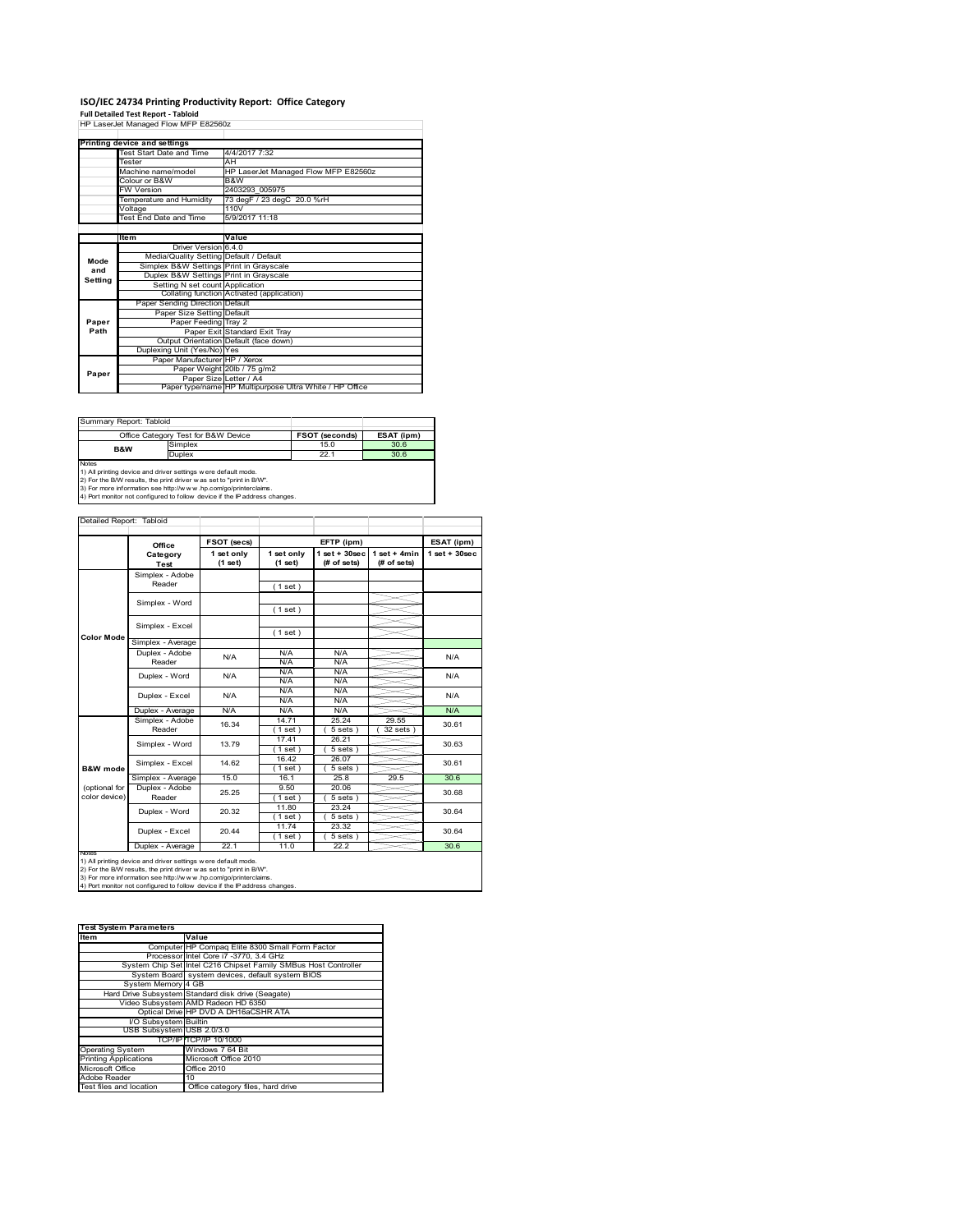# **ISO/IEC 24734 Printing Productivity Report: Office Category Full Detailed Test Report ‐ Tabloid** HP LaserJet Managed Flow MFP E82560z

|         | HP Laserjet Manaded Flow MFP E825602    |                                                         |  |  |
|---------|-----------------------------------------|---------------------------------------------------------|--|--|
|         |                                         |                                                         |  |  |
|         | Printing device and settings            |                                                         |  |  |
|         | <b>Test Start Date and Time</b>         | 4/4/2017 7:32                                           |  |  |
|         | Tester                                  | AH                                                      |  |  |
|         | Machine name/model                      | HP LaserJet Managed Flow MFP E82560z                    |  |  |
|         | Colour or B&W                           | B&W                                                     |  |  |
|         | <b>FW Version</b>                       | 2403293 005975                                          |  |  |
|         | Temperature and Humidity                | 73 degF / 23 degC 20.0 %rH                              |  |  |
|         | Voltage                                 | 110V                                                    |  |  |
|         | Test End Date and Time                  | 5/9/2017 11:18                                          |  |  |
|         |                                         |                                                         |  |  |
|         | Item                                    | Value                                                   |  |  |
|         | Driver Version 6.4.0                    |                                                         |  |  |
| Mode    | Media/Quality Setting Default / Default |                                                         |  |  |
| and     | Simplex B&W Settings Print in Grayscale |                                                         |  |  |
| Setting | Duplex B&W Settings Print in Grayscale  |                                                         |  |  |
|         | Setting N set count Application         |                                                         |  |  |
|         |                                         | Collating function Activated (application)              |  |  |
|         | Paper Sending Direction Default         |                                                         |  |  |
|         | Paper Size Setting Default              |                                                         |  |  |
| Paper   | Paper Feeding Tray 2                    |                                                         |  |  |
| Path    |                                         | Paper Exit Standard Exit Tray                           |  |  |
|         |                                         | Output Orientation Default (face down)                  |  |  |
|         | Duplexing Unit (Yes/No) Yes             |                                                         |  |  |
|         | Paper Manufacturer HP / Xerox           |                                                         |  |  |
| Paper   |                                         | Paper Weight 20lb / 75 g/m2                             |  |  |
|         |                                         | Paper Size Letter / A4                                  |  |  |
|         |                                         | Paper type/name HP Multipurpose Ultra White / HP Office |  |  |

| Summary Report: Tabloid |                                                                     |                |            |
|-------------------------|---------------------------------------------------------------------|----------------|------------|
|                         | Office Category Test for B&W Device                                 | FSOT (seconds) | ESAT (ipm) |
| <b>B&amp;W</b>          | Simplex                                                             | 15.0           | 30.6       |
|                         | <b>Duplex</b>                                                       | 22.1           | 30.6       |
| <b>Notes</b>            |                                                                     |                |            |
|                         | 1) All printing device and driver settings were default mode.       |                |            |
|                         | 2) For the B/W results, the print driver was set to "print in B/W". |                |            |

2) For the B/W results, the print driver w as set to "print in B/W".<br>3) For more information see http://w w w.hp.com/go/printerclaims.<br>4) Port monitor not configured to follow device if the IP address changes.

|                     | Office                    | FSOT (secs)           |                       | EFTP (ipm)                        |                                | ESAT (ipm)         |
|---------------------|---------------------------|-----------------------|-----------------------|-----------------------------------|--------------------------------|--------------------|
|                     | Category<br><b>Test</b>   | 1 set only<br>(1 set) | 1 set only<br>(1 set) | $1$ set + $30$ sec<br>(# of sets) | $1 set + 4 min$<br>(# of sets) | $1$ set + $30$ sec |
|                     | Simplex - Adobe           |                       |                       |                                   |                                |                    |
|                     | Reader                    |                       | (1 set)               |                                   |                                |                    |
|                     |                           |                       |                       |                                   |                                |                    |
|                     | Simplex - Word            |                       | (1 set)               |                                   |                                |                    |
|                     | Simplex - Excel           |                       |                       |                                   |                                |                    |
| <b>Color Mode</b>   |                           |                       | (1 set)               |                                   |                                |                    |
|                     | Simplex - Average         |                       |                       |                                   |                                |                    |
|                     | Duplex - Adobe            | N/A                   | N/A                   | N/A                               |                                | N/A                |
|                     | Reader                    |                       | N/A                   | N/A                               |                                |                    |
|                     | Duplex - Word             | N/A                   | N/A                   | N/A                               |                                | N/A<br>N/A         |
|                     |                           |                       | N/A                   | N/A                               |                                |                    |
|                     | Duplex - Excel            | N/A                   | N/A                   | N/A                               |                                |                    |
|                     |                           |                       | N/A                   | N/A                               |                                |                    |
|                     | Duplex - Average          | N/A                   | N/A                   | N/A                               |                                | N/A                |
|                     | Simplex - Adobe<br>Reader | 16.34                 | 14.71                 | 25.24                             | 29.55                          | 30.61              |
|                     |                           |                       | (1 set)               | $5 sets$ )                        | 32 sets                        |                    |
|                     | Simplex - Word            | 13.79                 | 17.41                 | 26.21                             |                                | 30.63              |
|                     |                           |                       | (1 set)               | $\overline{5}$ sets)              |                                |                    |
|                     | Simplex - Excel           | 14.62                 | 16.42                 | 26.07                             |                                | 30.61              |
| <b>B&amp;W</b> mode |                           |                       | (1 set)               | $5 sets$ )                        |                                |                    |
|                     | Simplex - Average         | 15.0                  | 16.1                  | 25.8                              | 29.5                           | 30.6               |
| (optional for       | Duplex - Adobe            | 25.25                 | 9.50                  | 20.06                             |                                | 30.68              |
| color device)       | Reader                    |                       | $1$ set)              | $5 sets$ )                        |                                |                    |
|                     | Duplex - Word             | 20.32                 | 11.80                 | 23.24                             |                                | 30.64              |
|                     |                           |                       | (1 set)               | $5 sets$ )                        |                                |                    |
|                     | Duplex - Excel            | 20.44                 | 11.74                 | 23.32                             |                                | 30.64              |
|                     |                           |                       | (1 set )              | $5 sets$ )                        |                                |                    |
| <b>IVOIES</b>       | Duplex - Average          | 22.1                  | 11.0                  | 22.2                              |                                | 30.6               |

| <b>Test System Parameters</b> |                                                                 |
|-------------------------------|-----------------------------------------------------------------|
| ltem                          | Value                                                           |
|                               | Computer HP Compaq Elite 8300 Small Form Factor                 |
|                               | Processor Intel Core i7 -3770, 3.4 GHz                          |
|                               | System Chip Set Intel C216 Chipset Family SMBus Host Controller |
|                               | System Board system devices, default system BIOS                |
| System Memory 4 GB            |                                                                 |
|                               | Hard Drive Subsystem Standard disk drive (Seagate)              |
|                               | Video Subsystem AMD Radeon HD 6350                              |
|                               | Optical Drive HP DVD A DH16aCSHR ATA                            |
| I/O Subsystem Builtin         |                                                                 |
| USB Subsystem USB 2.0/3.0     |                                                                 |
|                               | TCP/IPITCP/IP 10/1000                                           |
| <b>Operating System</b>       | Windows 7 64 Bit                                                |
| <b>Printing Applications</b>  | Microsoft Office 2010                                           |
| Microsoft Office              | Office 2010                                                     |
| Adobe Reader                  | 10                                                              |
| Test files and location       | Office category files, hard drive                               |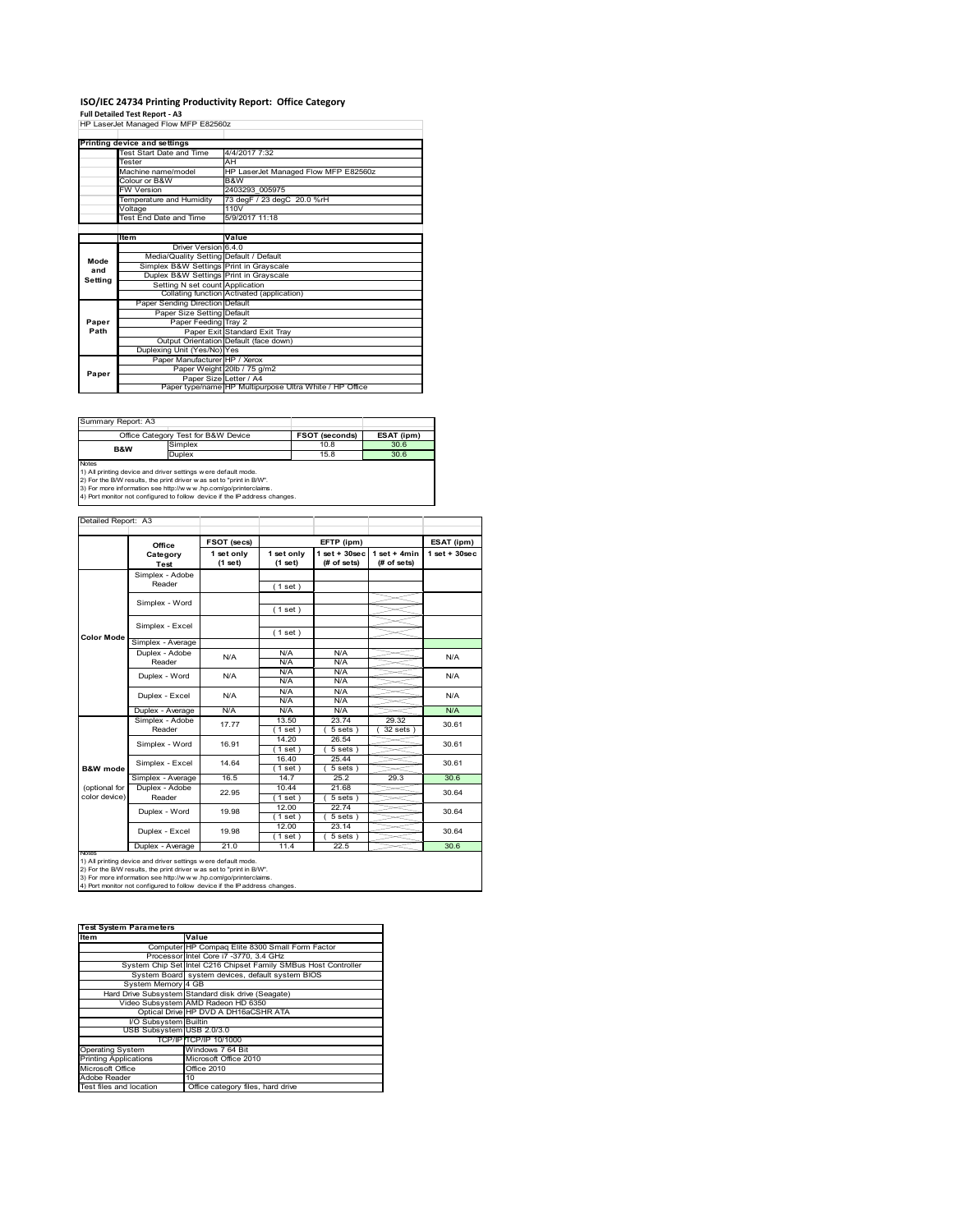# **ISO/IEC 24734 Printing Productivity Report: Office Category Full Detailed Test Report ‐ A3** HP LaserJet Managed Flow MFP E82560z

|         | HP Laserjet Manaded Flow MFP E825602    |                                                         |
|---------|-----------------------------------------|---------------------------------------------------------|
|         |                                         |                                                         |
|         | Printing device and settings            |                                                         |
|         | <b>Test Start Date and Time</b>         | 4/4/2017 7:32                                           |
|         | Tester                                  | AH                                                      |
|         | Machine name/model                      | HP LaserJet Managed Flow MFP E82560z                    |
|         | Colour or B&W                           | B&W                                                     |
|         | <b>FW Version</b>                       | 2403293 005975                                          |
|         | Temperature and Humidity                | 73 degF / 23 degC 20.0 %rH                              |
|         | Voltage                                 | 110V                                                    |
|         | Test End Date and Time                  | 5/9/2017 11:18                                          |
|         |                                         |                                                         |
|         | Item                                    | Value                                                   |
|         | Driver Version 6.4.0                    |                                                         |
| Mode    | Media/Quality Setting Default / Default |                                                         |
| and     | Simplex B&W Settings Print in Grayscale |                                                         |
| Setting | Duplex B&W Settings Print in Grayscale  |                                                         |
|         | Setting N set count Application         |                                                         |
|         |                                         | Collating function Activated (application)              |
|         | Paper Sending Direction Default         |                                                         |
|         | Paper Size Setting Default              |                                                         |
| Paper   | Paper Feeding Tray 2                    |                                                         |
| Path    |                                         | Paper Exit Standard Exit Tray                           |
|         |                                         | Output Orientation Default (face down)                  |
|         | Duplexing Unit (Yes/No) Yes             |                                                         |
|         | Paper Manufacturer HP / Xerox           |                                                         |
| Paper   |                                         | Paper Weight 20lb / 75 g/m2                             |
|         |                                         | Paper Size Letter / A4                                  |
|         |                                         | Paper type/name HP Multipurpose Ultra White / HP Office |

| Summary Report: A3 |                                                                     |                |            |
|--------------------|---------------------------------------------------------------------|----------------|------------|
|                    | Office Category Test for B&W Device                                 | FSOT (seconds) | ESAT (ipm) |
| <b>B&amp;W</b>     | Simplex                                                             | 10.8           | 30.6       |
|                    | <b>Duplex</b>                                                       | 15.8           | 30.6       |
| <b>Notes</b>       |                                                                     |                |            |
|                    | 1) All printing device and driver settings w ere default mode.      |                |            |
|                    | 2) For the B/W results, the print driver was set to "print in B/W". |                |            |

2) For the B/W results, the print driver w as set to "print in B/W".<br>3) For more information see http://w w w.hp.com/go/printerclaims.<br>4) Port monitor not configured to follow device if the IP address changes.

|                     | Office                  | FSOT (secs)           |                       | EFTP (ipm)                        |                                | ESAT (ipm)         |
|---------------------|-------------------------|-----------------------|-----------------------|-----------------------------------|--------------------------------|--------------------|
|                     | Category<br><b>Test</b> | 1 set only<br>(1 set) | 1 set only<br>(1 set) | $1$ set + $30$ sec<br>(# of sets) | $1 set + 4 min$<br>(# of sets) | $1$ set + $30$ sec |
|                     | Simplex - Adobe         |                       |                       |                                   |                                |                    |
|                     | Reader                  |                       | (1 set)               |                                   |                                |                    |
|                     |                         |                       |                       |                                   |                                |                    |
|                     | Simplex - Word          |                       | (1 set)               |                                   |                                |                    |
|                     | Simplex - Excel         |                       |                       |                                   |                                |                    |
| <b>Color Mode</b>   |                         |                       | (1 set)               |                                   |                                |                    |
|                     | Simplex - Average       |                       |                       |                                   |                                |                    |
|                     | Duplex - Adobe          | N/A                   | N/A                   | N/A                               |                                | N/A                |
|                     | Reader                  |                       | N/A                   | N/A                               |                                |                    |
|                     | Duplex - Word           | N/A                   | N/A                   | N/A                               |                                | N/A                |
|                     |                         |                       | N/A                   | N/A                               |                                |                    |
|                     | Duplex - Excel          | N/A                   | N/A                   | N/A                               |                                | N/A                |
|                     |                         |                       | N/A                   | N/A                               |                                |                    |
|                     | Duplex - Average        | N/A                   | N/A                   | N/A                               |                                | N/A                |
|                     | Simplex - Adobe         | 17.77                 | 13.50                 | 23.74                             | 29.32                          | 30.61              |
|                     | Reader                  |                       | $1$ set)              | $5 sets$ )                        | 32 sets                        |                    |
|                     | Simplex - Word          | 16.91                 | 14.20                 | 26.54                             |                                | 30.61              |
|                     |                         |                       | $1$ set)              | $5 sets$ )                        |                                |                    |
|                     | Simplex - Excel         | 14.64                 | 16.40                 | 25.44                             |                                | 30.61              |
| <b>B&amp;W</b> mode |                         |                       | (1 set)               | $5 sets$ )                        |                                |                    |
|                     | Simplex - Average       | 16.5                  | 14.7                  | 25.2                              | 29.3                           | 30.6               |
| (optional for       | Duplex - Adobe          | 22.95                 | 10.44                 | 21.68                             |                                | 30.64              |
| color device)       | Reader                  |                       | (1 set )              | $5 sets$ )                        |                                |                    |
|                     | Duplex - Word           | 19.98                 | 12.00                 | 22.74                             |                                | 30.64              |
|                     |                         |                       | (1 set)               | $5 sets$ )                        |                                |                    |
|                     | Duplex - Excel          | 19.98                 | 12.00                 | 23.14                             |                                | 30.64              |
|                     |                         |                       | $1$ set)              | $5 sets$ )                        |                                |                    |
|                     | Duplex - Average        | 21.0                  | 11.4                  | 22.5                              |                                | 30.6               |

| <b>Test System Parameters</b> |                                                                 |
|-------------------------------|-----------------------------------------------------------------|
| <b>Item</b>                   | Value                                                           |
|                               | Computer HP Compaq Elite 8300 Small Form Factor                 |
|                               | Processor Intel Core i7 -3770, 3.4 GHz                          |
|                               | System Chip Set Intel C216 Chipset Family SMBus Host Controller |
|                               | System Board system devices, default system BIOS                |
| System Memory 4 GB            |                                                                 |
|                               | Hard Drive Subsystem Standard disk drive (Seagate)              |
|                               | Video Subsystem AMD Radeon HD 6350                              |
|                               | Optical Drive HP DVD A DH16aCSHR ATA                            |
| I/O Subsystem Builtin         |                                                                 |
| USB Subsystem USB 2.0/3.0     |                                                                 |
|                               | TCP/IPITCP/IP 10/1000                                           |
| <b>Operating System</b>       | Windows 7 64 Bit                                                |
| <b>Printing Applications</b>  | Microsoft Office 2010                                           |
| Microsoft Office              | Office 2010                                                     |
| Adobe Reader                  | 10                                                              |
| Test files and location       | Office category files, hard drive                               |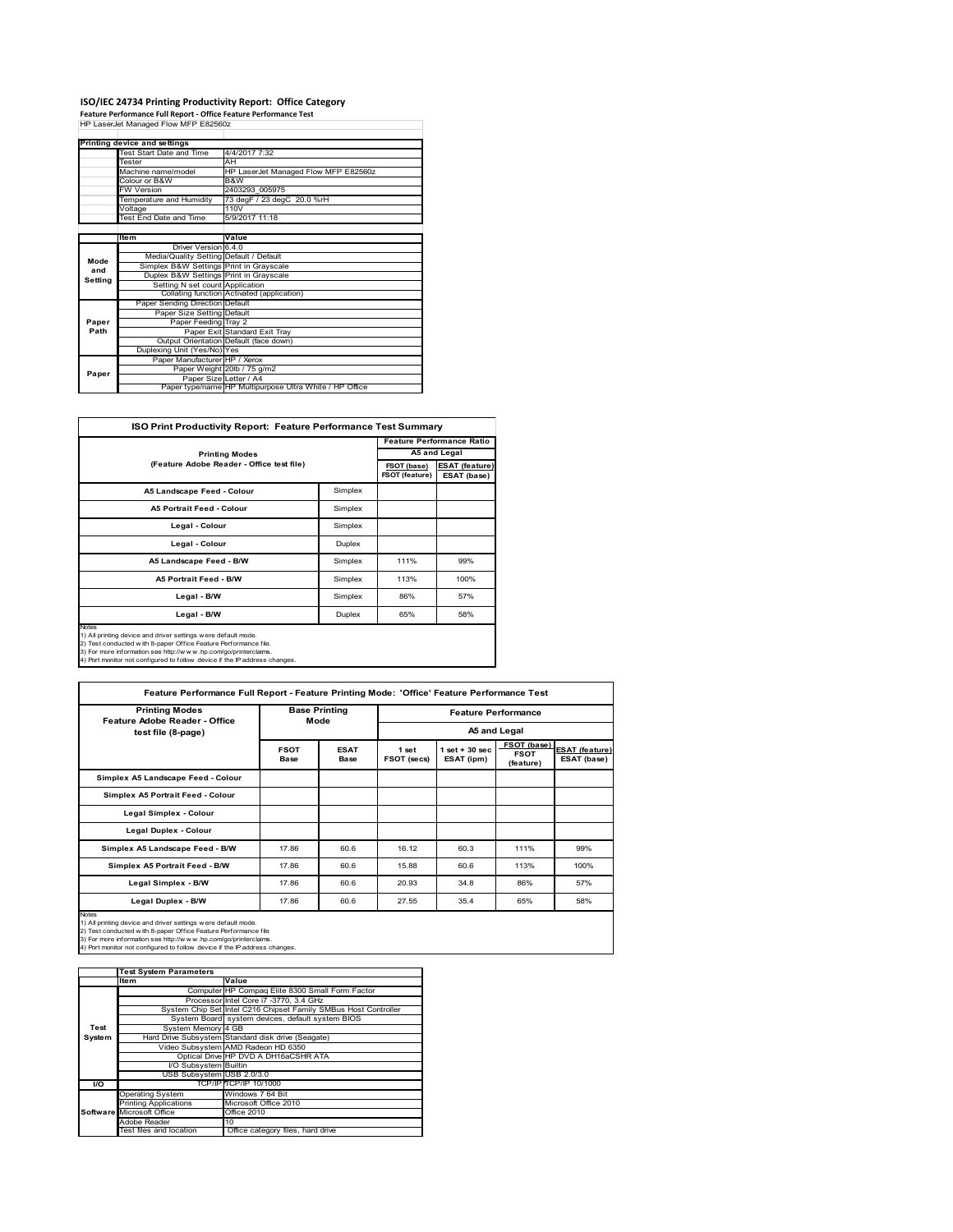# **ISO/IEC 24734 Printing Productivity Report: Office Category Feature Performance Full Report ‐ Office Feature Performance Test** HP LaserJet Managed Flow MFP E82560z

|         | Printing device and settings            |                                                         |
|---------|-----------------------------------------|---------------------------------------------------------|
|         | Test Start Date and Time                | 4/4/2017 7:32                                           |
|         | Tester                                  | AH                                                      |
|         | Machine name/model                      | HP LaserJet Managed Flow MFP E82560z                    |
|         | Colour or B&W                           | B&W                                                     |
|         | <b>FW Version</b>                       | 2403293 005975                                          |
|         | Temperature and Humidity                | 73 degF / 23 degC 20.0 %rH                              |
|         | Voltage                                 | 110V                                                    |
|         | Test End Date and Time                  | 5/9/2017 11:18                                          |
|         |                                         |                                                         |
|         | Item                                    | Value                                                   |
|         | Driver Version 6.4.0                    |                                                         |
| Mode    | Media/Quality Setting Default / Default |                                                         |
| and     | Simplex B&W Settings Print in Grayscale |                                                         |
| Setting | Duplex B&W Settings Print in Grayscale  |                                                         |
|         | Setting N set count Application         |                                                         |
|         |                                         | Collating function Activated (application)              |
|         | Paper Sending Direction Default         |                                                         |
|         | Paper Size Setting Default              |                                                         |
| Paper   | Paper Feeding Tray 2                    |                                                         |
| Path    |                                         | Paper Exit Standard Exit Tray                           |
|         |                                         | Output Orientation Default (face down)                  |
|         | Duplexing Unit (Yes/No) Yes             |                                                         |
|         | Paper Manufacturer HP / Xerox           |                                                         |
| Paper   |                                         | Paper Weight 20lb / 75 g/m2                             |
|         |                                         | Paper Size Letter / A4                                  |
|         |                                         | Paper type/name HP Multipurpose Ultra White / HP Office |

| <b>ISO Print Productivity Report: Feature Performance Test Summary</b>                                                                                                                                                                                                                            |         |                               |                                      |
|---------------------------------------------------------------------------------------------------------------------------------------------------------------------------------------------------------------------------------------------------------------------------------------------------|---------|-------------------------------|--------------------------------------|
|                                                                                                                                                                                                                                                                                                   |         |                               | <b>Feature Performance Ratio</b>     |
| <b>Printing Modes</b>                                                                                                                                                                                                                                                                             |         |                               | A5 and Legal                         |
| (Feature Adobe Reader - Office test file)                                                                                                                                                                                                                                                         |         | FSOT (base)<br>FSOT (feature) | <b>ESAT (feature)</b><br>ESAT (base) |
| A5 Landscape Feed - Colour                                                                                                                                                                                                                                                                        | Simplex |                               |                                      |
| <b>A5 Portrait Feed - Colour</b>                                                                                                                                                                                                                                                                  | Simplex |                               |                                      |
| Legal - Colour                                                                                                                                                                                                                                                                                    | Simplex |                               |                                      |
| Legal - Colour                                                                                                                                                                                                                                                                                    | Duplex  |                               |                                      |
| A5 Landscape Feed - B/W                                                                                                                                                                                                                                                                           | Simplex | 111%                          | 99%                                  |
| <b>A5 Portrait Feed - B/W</b>                                                                                                                                                                                                                                                                     | Simplex | 113%                          | 100%                                 |
| Legal - B/W                                                                                                                                                                                                                                                                                       | Simplex | 86%                           | 57%                                  |
| Legal - B/W                                                                                                                                                                                                                                                                                       | Duplex  | 65%                           | 58%                                  |
| <b>Notes</b><br>1) All printing device and driver settings were default mode.<br>2) Test conducted with 8-paper Office Feature Performance file.<br>3) For more information see http://www.hp.com/go/printerclaims.<br>4) Port monitor not configured to follow device if the IP address changes. |         |                               |                                      |

| Feature Performance Full Report - Feature Printing Mode: 'Office' Feature Performance Test                                                                                                                                                                                                          |                     |                            |                      |                                 |                                         |                                      |  |
|-----------------------------------------------------------------------------------------------------------------------------------------------------------------------------------------------------------------------------------------------------------------------------------------------------|---------------------|----------------------------|----------------------|---------------------------------|-----------------------------------------|--------------------------------------|--|
| <b>Printing Modes</b><br>Feature Adobe Reader - Office                                                                                                                                                                                                                                              |                     | <b>Base Printing</b>       |                      |                                 | <b>Feature Performance</b>              |                                      |  |
| test file (8-page)                                                                                                                                                                                                                                                                                  | Mode                |                            | A5 and Legal         |                                 |                                         |                                      |  |
|                                                                                                                                                                                                                                                                                                     | <b>FSOT</b><br>Base | <b>ESAT</b><br><b>Base</b> | 1 set<br>FSOT (secs) | $1$ set $+30$ sec<br>ESAT (ipm) | FSOT (base)<br><b>FSOT</b><br>(feature) | <b>ESAT (feature)</b><br>ESAT (base) |  |
| Simplex A5 Landscape Feed - Colour                                                                                                                                                                                                                                                                  |                     |                            |                      |                                 |                                         |                                      |  |
| Simplex A5 Portrait Feed - Colour                                                                                                                                                                                                                                                                   |                     |                            |                      |                                 |                                         |                                      |  |
| <b>Legal Simplex - Colour</b>                                                                                                                                                                                                                                                                       |                     |                            |                      |                                 |                                         |                                      |  |
| Legal Duplex - Colour                                                                                                                                                                                                                                                                               |                     |                            |                      |                                 |                                         |                                      |  |
| Simplex A5 Landscape Feed - B/W                                                                                                                                                                                                                                                                     | 17.86               | 60.6                       | 16.12                | 60.3                            | 111%                                    | 99%                                  |  |
| Simplex A5 Portrait Feed - B/W                                                                                                                                                                                                                                                                      | 17.86               | 60.6                       | 15.88                | 60.6                            | 113%                                    | 100%                                 |  |
| Legal Simplex - B/W                                                                                                                                                                                                                                                                                 | 17.86               | 60.6                       | 20.93                | 34.8                            | 86%                                     | 57%                                  |  |
| Legal Duplex - B/W                                                                                                                                                                                                                                                                                  | 17.86               | 60.6                       | 27.55                | 35.4                            | 65%                                     | 58%                                  |  |
| <b>Notes</b><br>1) All printing device and driver settings were default mode.<br>2) Test conducted with 8-paper Office Feature Performance file<br>3) For more information see http://w w w .hp.com/go/printerclaims.<br>4) Port monitor not configured to follow device if the IP address changes. |                     |                            |                      |                                 |                                         |                                      |  |

|                  | <b>Test System Parameters</b> |                                                                 |
|------------------|-------------------------------|-----------------------------------------------------------------|
|                  | <b>Item</b>                   | Value                                                           |
|                  |                               | Computer HP Compaq Elite 8300 Small Form Factor                 |
|                  |                               | Processor Intel Core i7 -3770, 3.4 GHz                          |
|                  |                               | System Chip Set Intel C216 Chipset Family SMBus Host Controller |
|                  |                               | System Board system devices, default system BIOS                |
| Test             | System Memory 4 GB            |                                                                 |
| System           |                               | Hard Drive Subsystem Standard disk drive (Seagate)              |
|                  |                               | Video Subsystem AMD Radeon HD 6350                              |
|                  |                               | Optical Drive HP DVD A DH16aCSHR ATA                            |
|                  | I/O Subsystem Builtin         |                                                                 |
|                  | USB Subsystem USB 2.0/3.0     |                                                                 |
| $\overline{1/O}$ |                               | TCP/IP TCP/IP 10/1000                                           |
|                  | <b>Operating System</b>       | Windows 7 64 Bit                                                |
|                  | <b>Printing Applications</b>  | Microsoft Office 2010                                           |
|                  | Software Microsoft Office     | Office 2010                                                     |
|                  | Adobe Reader                  | 10                                                              |
|                  | Test files and location       | Office category files, hard drive                               |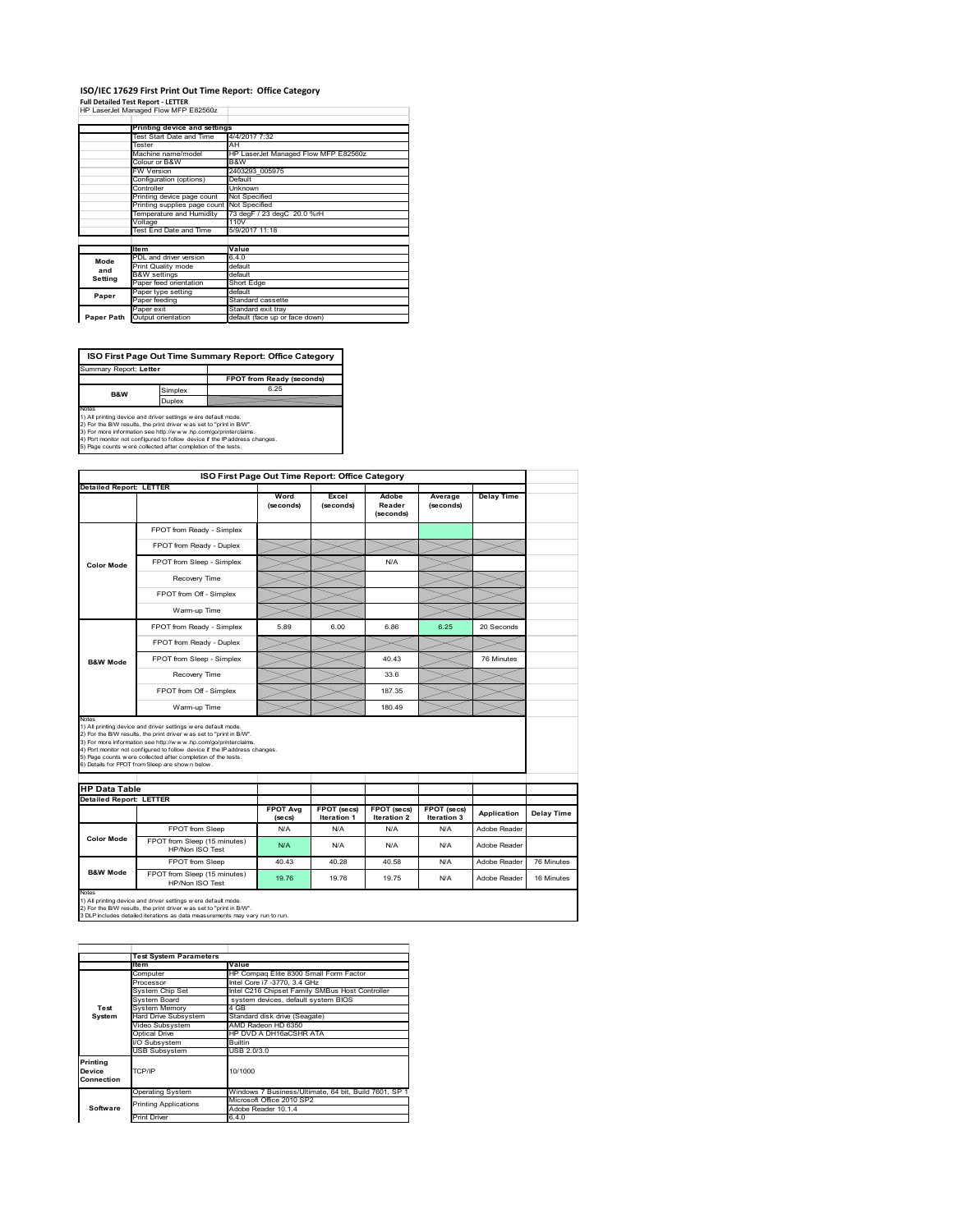#### **ISO/IEC 17629 First Print Out Time Report: Office Category Full Detailed Test Report ‐ LETTER**

| HP LaserJet Managed Flow MFP E82560z |  |
|--------------------------------------|--|

|            | Printing device and settings |                                      |
|------------|------------------------------|--------------------------------------|
|            | Test Start Date and Time     | 4/4/2017 7:32                        |
|            | Tester                       | AH                                   |
|            | Machine name/model           | HP LaserJet Managed Flow MFP E82560z |
|            | Colour or B&W                | B&W                                  |
|            | FW Version                   | 2403293 005975                       |
|            | Configuration (options)      | Default                              |
|            | Controller                   | Unknown                              |
|            | Printing device page count   | Not Specified                        |
|            | Printing supplies page count | Not Specified                        |
|            | Temperature and Humidity     | 73 degF / 23 degC 20.0 %rH           |
|            | Voltage                      | 110V                                 |
|            | Test End Date and Time       | 5/9/2017 11:18                       |
|            |                              |                                      |
|            | <b>Item</b>                  | Value                                |
| Mode       | PDL and driver version       | 6.4.0                                |
| and        | Print Quality mode           | default                              |
| Setting    | <b>B&amp;W</b> settings      | default                              |
|            | Paper feed orientation       | Short Edge                           |
| Paper      | Paper type setting           | default                              |
|            | Paper feeding                | Standard cassette                    |
|            | Paper exit                   | Standard exit tray                   |
| Paper Path | Output orientation           | default (face up or face down)       |

ń

**ISO First Page Out Time Summary Report: Office Category** port: Letter

**FPOT from Ready (seconds)**<br>
Simplex 6.25 **B&W**

**Duplex**<br>Notes<br>1) All printing device and driver settings were default mode.<br>2) For the BM results, the print driver was set to "print in BM".<br>4) For more information see http://www.hp.com/golprinterclaims.<br>4) Port monitor

|                                |                                                                                                                                                                                                                                                                                                                                                                                                              | ISO First Page Out Time Report: Office Category |                           |                              |                      |                   |            |
|--------------------------------|--------------------------------------------------------------------------------------------------------------------------------------------------------------------------------------------------------------------------------------------------------------------------------------------------------------------------------------------------------------------------------------------------------------|-------------------------------------------------|---------------------------|------------------------------|----------------------|-------------------|------------|
| <b>Detailed Report: LETTER</b> |                                                                                                                                                                                                                                                                                                                                                                                                              | Word<br>(seconds)                               | Excel<br>(seconds)        | Adobe<br>Reader<br>(seconds) | Average<br>(seconds) | <b>Delay Time</b> |            |
|                                | FPOT from Ready - Simplex                                                                                                                                                                                                                                                                                                                                                                                    |                                                 |                           |                              |                      |                   |            |
|                                | FPOT from Ready - Duplex                                                                                                                                                                                                                                                                                                                                                                                     |                                                 |                           |                              |                      |                   |            |
| <b>Color Mode</b>              | FPOT from Sleep - Simplex                                                                                                                                                                                                                                                                                                                                                                                    |                                                 |                           | N/A                          |                      |                   |            |
|                                | Recovery Time                                                                                                                                                                                                                                                                                                                                                                                                |                                                 |                           |                              |                      |                   |            |
|                                | FPOT from Off - Simplex                                                                                                                                                                                                                                                                                                                                                                                      |                                                 |                           |                              |                      |                   |            |
|                                | Warm-up Time                                                                                                                                                                                                                                                                                                                                                                                                 |                                                 |                           |                              |                      |                   |            |
|                                | FPOT from Ready - Simplex                                                                                                                                                                                                                                                                                                                                                                                    | 5.89                                            | 6.00                      | 6.86                         | 6.25                 | 20 Seconds        |            |
|                                | FPOT from Ready - Duplex                                                                                                                                                                                                                                                                                                                                                                                     |                                                 |                           |                              |                      |                   |            |
| <b>B&amp;W Mode</b>            | FPOT from Sleep - Simplex                                                                                                                                                                                                                                                                                                                                                                                    |                                                 |                           | 40.43                        |                      | 76 Minutes        |            |
|                                | Recovery Time                                                                                                                                                                                                                                                                                                                                                                                                |                                                 |                           | 33.6                         |                      |                   |            |
|                                |                                                                                                                                                                                                                                                                                                                                                                                                              |                                                 |                           |                              |                      |                   |            |
|                                | FPOT from Off - Simplex                                                                                                                                                                                                                                                                                                                                                                                      |                                                 |                           | 187 35                       |                      |                   |            |
|                                | Warm-up Time                                                                                                                                                                                                                                                                                                                                                                                                 |                                                 |                           | 180.49                       |                      |                   |            |
| Notes<br><b>HP Data Table</b>  | 1) All printing device and driver settings w ere default mode.<br>2) For the B/W results, the print driver w as set to "print in B/W".<br>3) For more information see http://www.hp.com/go/printerclaims.<br>4) Port monitor not configured to follow device if the IP address changes.<br>5) Page counts w ere collected after completion of the tests.<br>6) Details for FPOT from Sleep are show n below. |                                                 |                           |                              |                      |                   |            |
| <b>Detailed Report: LETTER</b> |                                                                                                                                                                                                                                                                                                                                                                                                              | <b>FPOT Avg</b>                                 | FPOT (secs)               | FPOT (secs)                  | FPOT (secs)          | Application       |            |
|                                | FPOT from Sleep                                                                                                                                                                                                                                                                                                                                                                                              | (se cs)<br>N/A                                  | <b>Iteration 1</b><br>N/A | <b>Iteration 2</b><br>N/A    | Iteration 3<br>N/A   | Adobe Reader      | Delay Time |
| <b>Color Mode</b>              | FPOT from Sleep (15 minutes)<br>HP/Non ISO Test                                                                                                                                                                                                                                                                                                                                                              | N/A                                             | N/A                       | N/A                          | N/A                  | Adobe Reader      |            |
| <b>B&amp;W Mode</b>            | FPOT from Sleep                                                                                                                                                                                                                                                                                                                                                                                              | 40.43                                           | 40.28                     | 40.58                        | N/A                  | Adobe Reader      | 76 Minutes |

1) All printing device and driver settings w ere default mode.<br>2) For the B/W results, the print driver w as set to "print in B/W".<br>3 DLP includes detailed iterations as data measurements may vary run to run.

|                  | <b>Test System Parameters</b>                                |                                                       |  |
|------------------|--------------------------------------------------------------|-------------------------------------------------------|--|
|                  | <b>Item</b>                                                  | Value                                                 |  |
|                  | Computer                                                     | HP Compag Elite 8300 Small Form Factor                |  |
|                  | Processor                                                    | Intel Core i7 -3770, 3.4 GHz                          |  |
|                  | System Chip Set                                              | Intel C216 Chipset Family SMBus Host Controller       |  |
|                  | System Board                                                 | system devices, default system BIOS                   |  |
| Test             | <b>System Memory</b><br>4 GB                                 |                                                       |  |
| System           | <b>Hard Drive Subsystem</b><br>Standard disk drive (Seagate) |                                                       |  |
|                  | AMD Radeon HD 6350<br>Video Subsystem                        |                                                       |  |
|                  | Optical Drive<br>HP DVD A DH16aCSHR ATA                      |                                                       |  |
|                  | I/O Subsystem                                                | <b>Builtin</b>                                        |  |
|                  | <b>USB Subsystem</b>                                         | USB 2.0/3.0                                           |  |
| Printing         |                                                              |                                                       |  |
| TCP/IP<br>Device |                                                              | 10/1000                                               |  |
| Connection       |                                                              |                                                       |  |
|                  | <b>Operating System</b>                                      | Windows 7 Business/Ultimate, 64 bit, Build 7601, SP 1 |  |
|                  | <b>Printing Applications</b>                                 | Microsoft Office 2010 SP2                             |  |
| Software         |                                                              | Adobe Reader 10.1.4                                   |  |
|                  | Print Driver                                                 | 6.4.0                                                 |  |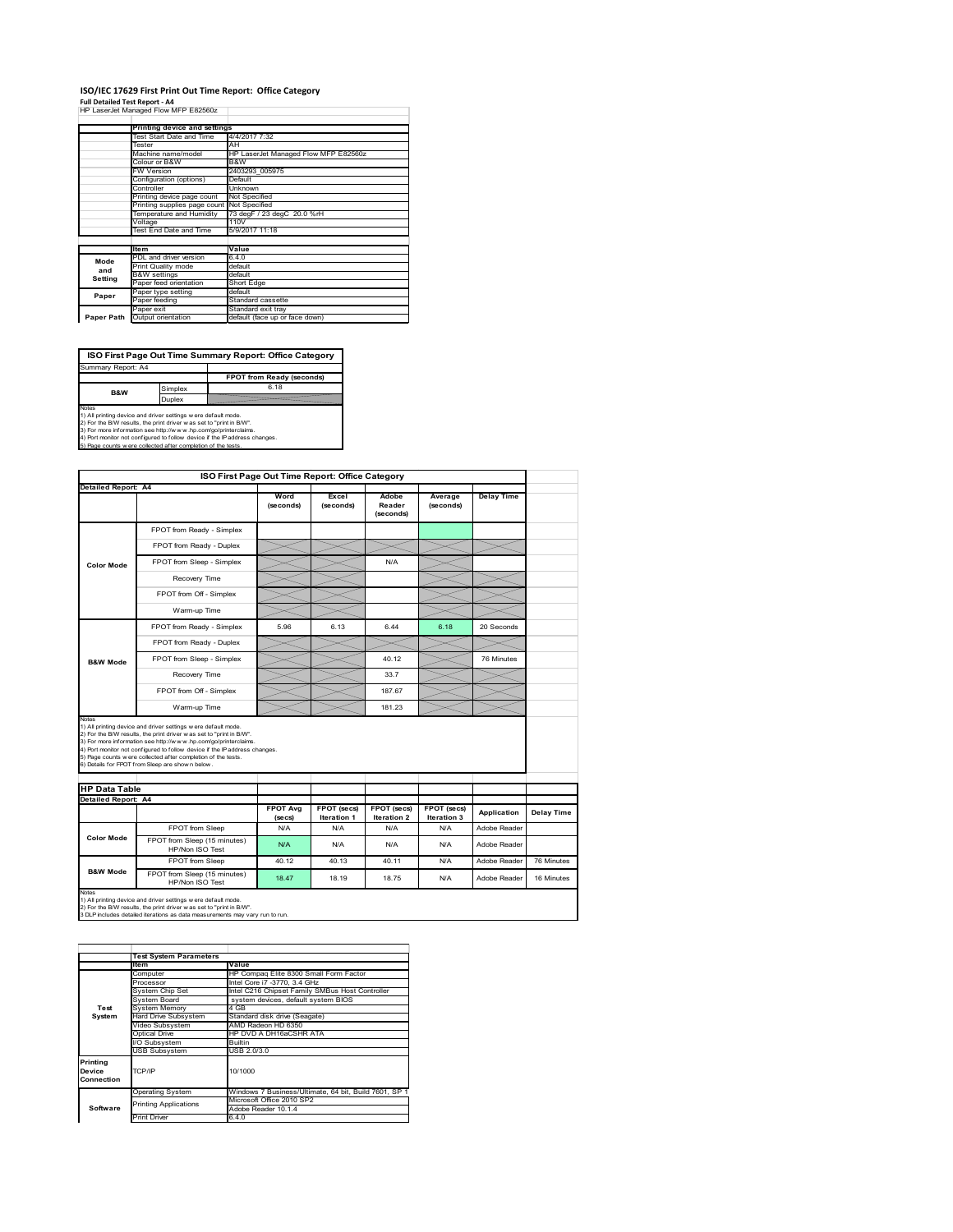# **ISO/IEC 17629 First Print Out Time Report: Office Category**

**Full Detailed Test Report ‐ A4** HP LaserJet Managed Flow MFP E82560z

|            | Printing device and settings                           |                                      |
|------------|--------------------------------------------------------|--------------------------------------|
|            | Test Start Date and Time                               | 4/4/2017 7:32                        |
|            | Tester                                                 | AH                                   |
|            | Machine name/model                                     | HP LaserJet Managed Flow MFP E82560z |
|            | Colour or B&W                                          | <b>B&amp;W</b>                       |
|            | <b>FW Version</b>                                      | 2403293 005975                       |
|            | Configuration (options)                                | Default                              |
|            | Controller                                             | Unknown                              |
|            | Printing device page count                             | Not Specified                        |
|            | Printing supplies page count                           | Not Specified                        |
|            | 73 degF / 23 degC 20.0 %rH<br>Temperature and Humidity |                                      |
|            | Voltage                                                | 110V                                 |
|            | Test End Date and Time                                 | 5/9/2017 11:18                       |
|            |                                                        |                                      |
|            | <b>Item</b>                                            | Value                                |
| Mode       | PDL and driver version                                 | 640                                  |
| and        | Print Quality mode                                     | default                              |
|            | <b>B&amp;W</b> settings                                | default                              |
| Setting    | Paper feed orientation                                 | Short Edge                           |
| Paper      | Paper type setting                                     | default                              |
|            | Paper feeding                                          | Standard cassette                    |
|            | Paper exit                                             | Standard exit trav                   |
| Paper Path | Output orientation                                     | default (face up or face down)       |

**ISO First Page Out Time Summary Report: Office Category**

**FPOT from Ready (seconds)** Simplex 6.18 **Duplex** Notes<br>1) All printing device and driver settings were default mode.<br>2) For the BAV results, the print driver was set to "print in BAV".<br>3) For more information see http://www.hp.com/golprinterclaims.<br>4) Port monitor not co Summary Report: A4 **B&W**

| <b>Detailed Report: A4</b> |                                                                                                                                                                                                                                                                                                                                                                                                             |                   |                    |                              |                      |                   |            |
|----------------------------|-------------------------------------------------------------------------------------------------------------------------------------------------------------------------------------------------------------------------------------------------------------------------------------------------------------------------------------------------------------------------------------------------------------|-------------------|--------------------|------------------------------|----------------------|-------------------|------------|
|                            |                                                                                                                                                                                                                                                                                                                                                                                                             |                   |                    |                              |                      |                   |            |
|                            |                                                                                                                                                                                                                                                                                                                                                                                                             | Word<br>(seconds) | Excel<br>(seconds) | Adobe<br>Reader<br>(seconds) | Average<br>(seconds) | <b>Delay Time</b> |            |
|                            | FPOT from Ready - Simplex                                                                                                                                                                                                                                                                                                                                                                                   |                   |                    |                              |                      |                   |            |
|                            | FPOT from Ready - Duplex                                                                                                                                                                                                                                                                                                                                                                                    |                   |                    |                              |                      |                   |            |
| Color Mode                 | FPOT from Sleep - Simplex                                                                                                                                                                                                                                                                                                                                                                                   |                   |                    | N/A                          |                      |                   |            |
|                            | Recovery Time                                                                                                                                                                                                                                                                                                                                                                                               |                   |                    |                              |                      |                   |            |
|                            | FPOT from Off - Simplex                                                                                                                                                                                                                                                                                                                                                                                     |                   |                    |                              |                      |                   |            |
|                            | Warm-up Time                                                                                                                                                                                                                                                                                                                                                                                                |                   |                    |                              |                      |                   |            |
|                            | FPOT from Ready - Simplex                                                                                                                                                                                                                                                                                                                                                                                   | 5.96              | 6.13               | 6.44                         | 6.18                 | 20 Seconds        |            |
|                            | FPOT from Ready - Duplex                                                                                                                                                                                                                                                                                                                                                                                    |                   |                    |                              |                      |                   |            |
| <b>B&amp;W Mode</b>        | FPOT from Sleep - Simplex                                                                                                                                                                                                                                                                                                                                                                                   |                   |                    | 40.12                        |                      | 76 Minutes        |            |
|                            | Recovery Time                                                                                                                                                                                                                                                                                                                                                                                               |                   |                    | 33.7                         |                      |                   |            |
|                            | FPOT from Off - Simplex                                                                                                                                                                                                                                                                                                                                                                                     |                   |                    | 187.67                       |                      |                   |            |
|                            | Warm-up Time                                                                                                                                                                                                                                                                                                                                                                                                |                   |                    | 181.23                       |                      |                   |            |
| <b>HP Data Table</b>       | 1) All printing device and driver settings w ere default mode.<br>2) For the B/W results, the print driver was set to "print in B/W".<br>3) For more information see http://www.hp.com/go/printerclaims.<br>4) Port monitor not configured to follow device if the IP address changes.<br>5) Page counts w ere collected after completion of the tests.<br>6) Details for FPOT from Sleep are show n below. |                   |                    |                              |                      |                   |            |
| <b>Detailed Report: A4</b> |                                                                                                                                                                                                                                                                                                                                                                                                             | <b>FPOT Avg</b>   | FPOT (secs)        | FPOT (secs)                  | FPOT (secs)          |                   |            |
|                            |                                                                                                                                                                                                                                                                                                                                                                                                             | (se cs)           | Iteration 1        | Iteration 2                  | Iteration 3          | Application       | Delay Time |
|                            | FPOT from Sleep                                                                                                                                                                                                                                                                                                                                                                                             | N/A               | N/A                | N/A                          | N/A                  | Adobe Reader      |            |
| <b>Color Mode</b>          | FPOT from Sleep (15 minutes)<br>HP/Non ISO Test                                                                                                                                                                                                                                                                                                                                                             | N/A               | N/A                | N/A                          | N/A                  | Adobe Reader      |            |
|                            | FPOT from Sleep                                                                                                                                                                                                                                                                                                                                                                                             | 40.12             | 40.13              | 40.11                        | N/A                  | Adobe Reader      | 76 Minutes |
| <b>B&amp;W Mode</b>        | FPOT from Sleep (15 minutes)                                                                                                                                                                                                                                                                                                                                                                                | 18.47             | 18.19              | 18.75                        | N/A                  | Adobe Reader      | 16 Minutes |

|                                  | <b>Test System Parameters</b> |                                                       |  |  |
|----------------------------------|-------------------------------|-------------------------------------------------------|--|--|
| Ite <sub>m</sub>                 |                               | Value                                                 |  |  |
|                                  | Computer                      | HP Compag Elite 8300 Small Form Factor                |  |  |
|                                  | Processor                     | Intel Core i7 -3770, 3.4 GHz                          |  |  |
|                                  | System Chip Set               | Intel C216 Chipset Family SMBus Host Controller       |  |  |
|                                  | System Board                  | system devices, default system BIOS                   |  |  |
| Test                             | <b>System Memory</b>          | 4 GB                                                  |  |  |
| System                           | Hard Drive Subsystem          | Standard disk drive (Seagate)                         |  |  |
|                                  | Video Subsystem               | AMD Radeon HD 6350                                    |  |  |
|                                  | <b>Optical Drive</b>          | HP DVD A DH16aCSHR ATA                                |  |  |
|                                  | I/O Subsystem                 | <b>Builtin</b>                                        |  |  |
|                                  | <b>USB Subsystem</b>          | USB 2.0/3.0                                           |  |  |
| Printing<br>Device<br>Connection | TCP/IP                        | 10/1000                                               |  |  |
|                                  | <b>Operating System</b>       | Windows 7 Business/Ultimate, 64 bit, Build 7601, SP 1 |  |  |
|                                  | <b>Printing Applications</b>  | Microsoft Office 2010 SP2                             |  |  |
| Software                         |                               | Adobe Reader 10.1.4                                   |  |  |
|                                  | <b>Print Driver</b>           | 6.4.0                                                 |  |  |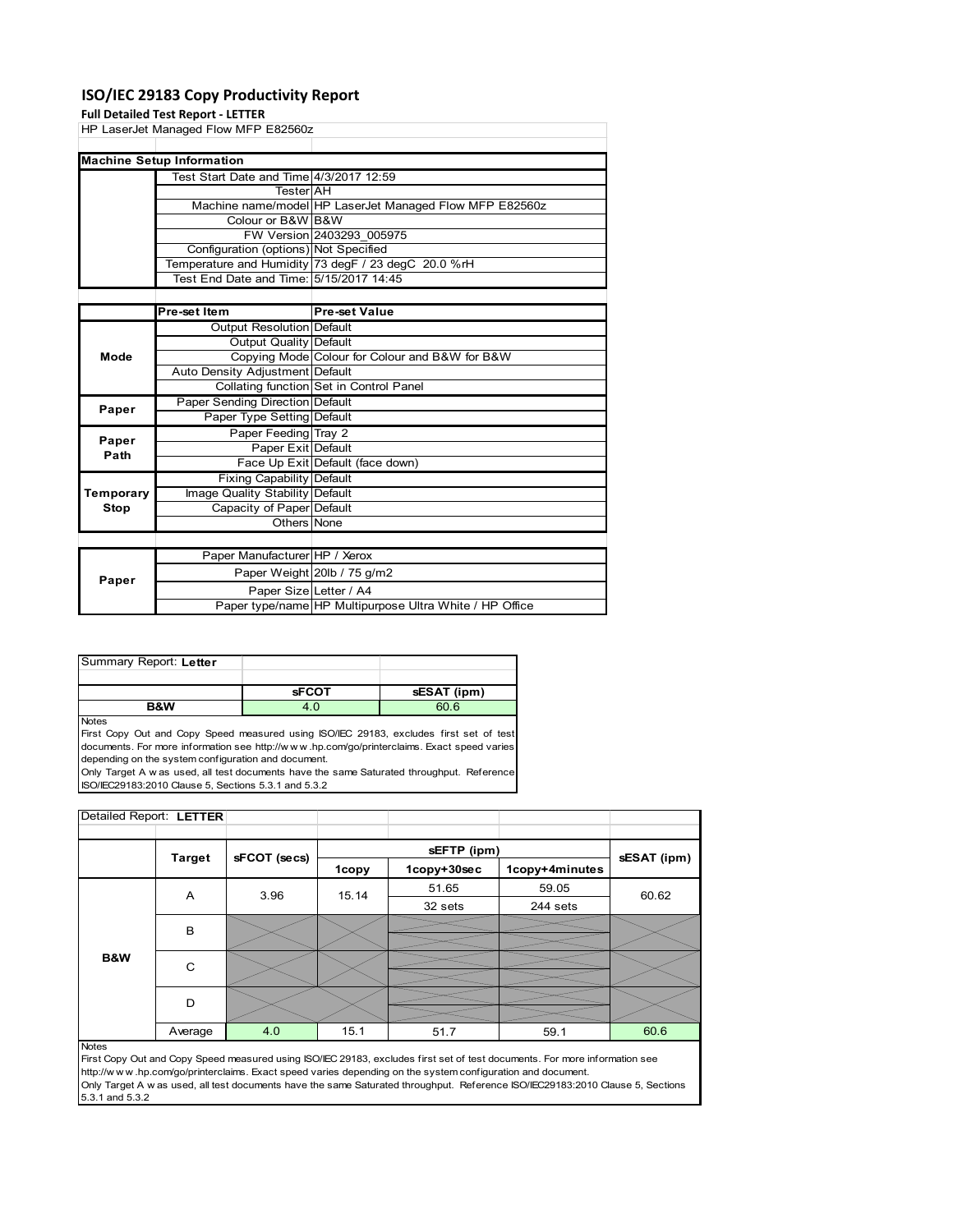# **ISO/IEC 29183 Copy Productivity Report**

### **Full Detailed Test Report ‐ LETTER**

| <b>Full Detailed Test Report - LETTER</b> |                                         |                                                         |  |
|-------------------------------------------|-----------------------------------------|---------------------------------------------------------|--|
|                                           | HP LaserJet Managed Flow MFP E82560z    |                                                         |  |
|                                           |                                         |                                                         |  |
|                                           | <b>Machine Setup Information</b>        |                                                         |  |
|                                           | Test Start Date and Time 4/3/2017 12:59 |                                                         |  |
|                                           | TesterIAH                               |                                                         |  |
|                                           |                                         | Machine name/model HP LaserJet Managed Flow MFP E82560z |  |
|                                           | Colour or B&W B&W                       |                                                         |  |
|                                           |                                         | FW Version 2403293 005975                               |  |
|                                           | Configuration (options) Not Specified   |                                                         |  |
|                                           |                                         | Temperature and Humidity 73 degF / 23 degC 20.0 %rH     |  |
|                                           | Test End Date and Time: 5/15/2017 14:45 |                                                         |  |
|                                           |                                         |                                                         |  |
|                                           | Pre-set Item                            | <b>Pre-set Value</b>                                    |  |
|                                           | <b>Output Resolution Default</b>        |                                                         |  |
|                                           | Output Quality Default                  |                                                         |  |
| Mode                                      |                                         | Copying Mode Colour for Colour and B&W for B&W          |  |
|                                           | Auto Density Adjustment Default         |                                                         |  |
|                                           |                                         | Collating function Set in Control Panel                 |  |
| Paper                                     | <b>Paper Sending Direction Default</b>  |                                                         |  |
|                                           | Paper Type Setting Default              |                                                         |  |
| Paper                                     | Paper Feeding Tray 2                    |                                                         |  |
| Path                                      | Paper Exit Default                      |                                                         |  |
|                                           |                                         | Face Up Exit Default (face down)                        |  |
|                                           | <b>Fixing Capability Default</b>        |                                                         |  |
| Temporary                                 | Image Quality Stability Default         |                                                         |  |
| <b>Stop</b>                               | Capacity of Paper Default               |                                                         |  |
|                                           | Others None                             |                                                         |  |
|                                           |                                         |                                                         |  |
|                                           | Paper Manufacturer HP / Xerox           |                                                         |  |
| Paper                                     |                                         | Paper Weight 20lb / 75 g/m2                             |  |
|                                           | Paper Size Letter / A4                  |                                                         |  |

| Summary Report: Letter |              |             |
|------------------------|--------------|-------------|
|                        |              |             |
|                        | <b>sFCOT</b> | sESAT (ipm) |

**B&W** 4.0 60.6

**Notes** 

First Copy Out and Copy Speed measured using ISO/IEC 29183, excludes first set of test documents. For more information see http://w w w .hp.com/go/printerclaims. Exact speed varies depending on the system configuration and document.

Only Target A w as used, all test documents have the same Saturated throughput. Reference ISO/IEC29183:2010 Clause 5, Sections 5.3.1 and 5.3.2

|  | Detailed Report: LETTER |              |       |             |                |             |       |
|--|-------------------------|--------------|-------|-------------|----------------|-------------|-------|
|  |                         |              |       |             |                |             |       |
|  |                         |              |       |             | sEFTP (ipm)    |             |       |
|  | <b>Target</b>           | sFCOT (secs) | 1copy | 1copy+30sec | 1copy+4minutes | sESAT (ipm) |       |
|  |                         | A            | 3.96  | 15.14       | 51.65          | 59.05       | 60.62 |
|  |                         |              |       |             | 32 sets        | 244 sets    |       |
|  |                         | B            |       |             |                |             |       |
|  |                         |              |       |             |                |             |       |
|  | B&W                     | C            |       |             |                |             |       |
|  |                         |              |       |             |                |             |       |
|  |                         | D            |       |             |                |             |       |
|  |                         |              |       |             |                |             |       |
|  |                         | Average      | 4.0   | 15.1        | 51.7           | 59.1        | 60.6  |

Paper type/name HP Multipurpose Ultra White / HP Office

#### Notes

First Copy Out and Copy Speed measured using ISO/IEC 29183, excludes first set of test documents. For more information see http://w w w .hp.com/go/printerclaims. Exact speed varies depending on the system configuration and document. Only Target A w as used, all test documents have the same Saturated throughput. Reference ISO/IEC29183:2010 Clause 5, Sections 5.3.1 and 5.3.2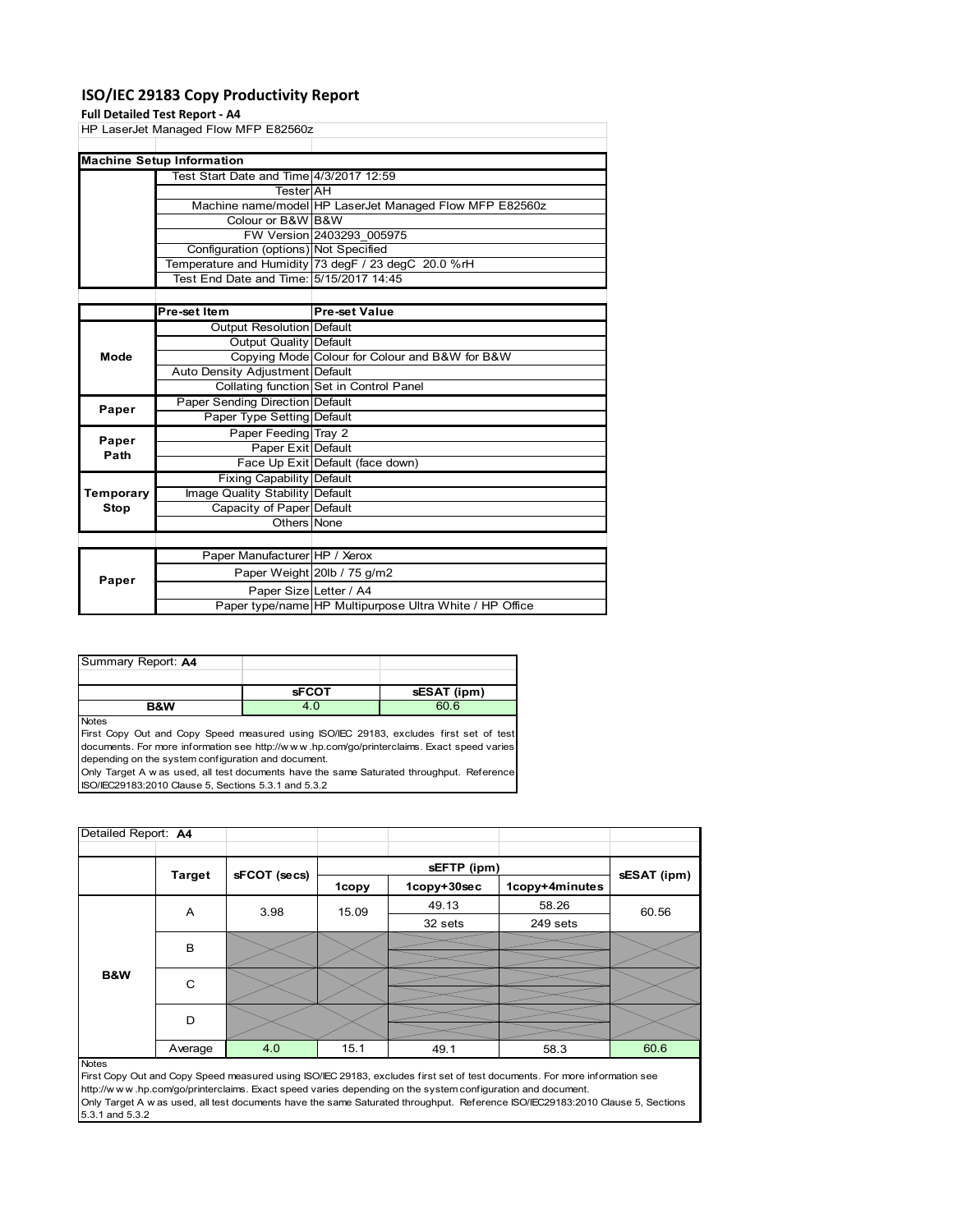# **ISO/IEC 29183 Copy Productivity Report**

# **Full Detailed Test Report ‐ A4**

| rull Detaileu Test Nepolit - A4 |                                         |                                                         |  |  |
|---------------------------------|-----------------------------------------|---------------------------------------------------------|--|--|
|                                 | HP LaserJet Managed Flow MFP E82560z    |                                                         |  |  |
|                                 |                                         |                                                         |  |  |
|                                 | <b>Machine Setup Information</b>        |                                                         |  |  |
|                                 | Test Start Date and Time 4/3/2017 12:59 |                                                         |  |  |
|                                 | TesterIAH                               |                                                         |  |  |
|                                 |                                         | Machine name/model HP LaserJet Managed Flow MFP E82560z |  |  |
| Colour or B&W B&W               |                                         |                                                         |  |  |
|                                 |                                         | FW Version 2403293 005975                               |  |  |
|                                 | Configuration (options) Not Specified   |                                                         |  |  |
|                                 |                                         | Temperature and Humidity 73 degF / 23 degC 20.0 %rH     |  |  |
|                                 |                                         |                                                         |  |  |
|                                 |                                         |                                                         |  |  |
|                                 | Pre-set Item                            | <b>Pre-set Value</b>                                    |  |  |
|                                 | <b>Output Resolution Default</b>        |                                                         |  |  |
| Mode                            | Output Quality Default                  |                                                         |  |  |
|                                 |                                         | Copying Mode Colour for Colour and B&W for B&W          |  |  |
|                                 | Auto Density Adjustment Default         |                                                         |  |  |
|                                 |                                         | Collating function Set in Control Panel                 |  |  |
| Paper                           | Paper Sending Direction Default         |                                                         |  |  |
|                                 | Paper Type Setting Default              |                                                         |  |  |
| Paper                           | Paper Feeding Tray 2                    |                                                         |  |  |
| Path                            | Paper Exit Default                      |                                                         |  |  |
|                                 |                                         | Face Up Exit Default (face down)                        |  |  |
|                                 | <b>Fixing Capability Default</b>        |                                                         |  |  |
| Temporary                       | Image Quality Stability Default         |                                                         |  |  |
| <b>Stop</b>                     | Capacity of Paper Default               |                                                         |  |  |
|                                 | Others None                             |                                                         |  |  |
|                                 |                                         |                                                         |  |  |

| Paper Weight 20lb / 75 g/m2<br>Paper<br>Paper Size Letter / A4 | Paper Manufacturer HP / Xerox |  |
|----------------------------------------------------------------|-------------------------------|--|
|                                                                |                               |  |
|                                                                |                               |  |
| Paper type/name HP Multipurpose Ultra White / HP Office        |                               |  |

| <b>SFCOT</b> | sESAT (ipm) |
|--------------|-------------|

**Notes** 

First Copy Out and Copy Speed measured using ISO/IEC 29183, excludes first set of test documents. For more information see http://w w w .hp.com/go/printerclaims. Exact speed varies depending on the system configuration and document.

Only Target A w as used, all test documents have the same Saturated throughput. Reference ISO/IEC29183:2010 Clause 5, Sections 5.3.1 and 5.3.2

| Detailed Report: A4 |               |              |       |             |                |             |
|---------------------|---------------|--------------|-------|-------------|----------------|-------------|
|                     |               |              |       | sEFTP (ipm) |                |             |
|                     | <b>Target</b> | sFCOT (secs) | 1copy | 1copy+30sec | 1copy+4minutes | sESAT (ipm) |
|                     | A             | 3.98         | 15.09 | 49.13       | 58.26          | 60.56       |
|                     |               |              |       | 32 sets     | 249 sets       |             |
|                     | B             |              |       |             |                |             |
| B&W                 | C             |              |       |             |                |             |
|                     | D             |              |       |             |                |             |
|                     | Average       | 4.0          | 15.1  | 49.1        | 58.3           | 60.6        |
| <b>Notes</b>        |               |              |       |             |                |             |

First Copy Out and Copy Speed measured using ISO/IEC 29183, excludes first set of test documents. For more information see http://w w w .hp.com/go/printerclaims. Exact speed varies depending on the system configuration and document. Only Target A w as used, all test documents have the same Saturated throughput. Reference ISO/IEC29183:2010 Clause 5, Sections 5.3.1 and 5.3.2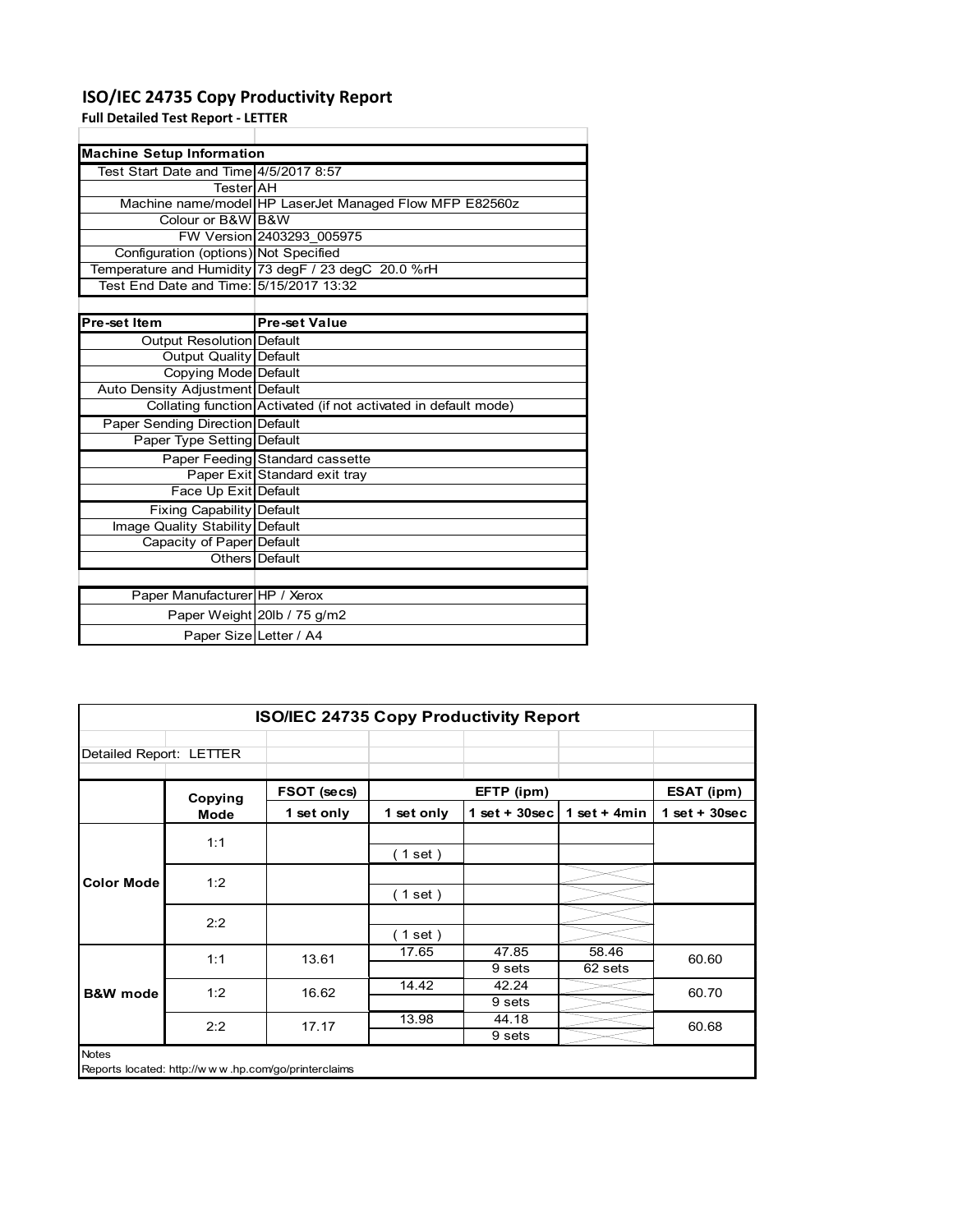# **ISO/IEC 24735 Copy Productivity Report**

**Full Detailed Test Report ‐ LETTER**

| <b>Machine Setup Information</b>           |                                                                 |
|--------------------------------------------|-----------------------------------------------------------------|
| Test Start Date and Time 4/5/2017 8:57     |                                                                 |
| TesterIAH                                  |                                                                 |
|                                            | Machine name/model HP LaserJet Managed Flow MFP E82560z         |
| Colour or B&W B&W                          |                                                                 |
|                                            | FW Version 2403293 005975                                       |
| Configuration (options) Not Specified      |                                                                 |
|                                            | Temperature and Humidity 73 degF / 23 degC 20.0 %rH             |
| Test    End Date and Time: 5/15/2017 13:32 |                                                                 |
|                                            |                                                                 |
| Pre-set Item                               | <b>Pre-set Value</b>                                            |
| Output Resolution Default                  |                                                                 |
| <b>Output Quality Default</b>              |                                                                 |
| Copying Mode Default                       |                                                                 |
| Auto Density Adjustment Default            |                                                                 |
|                                            | Collating function Activated (if not activated in default mode) |
| Paper Sending Direction Default            |                                                                 |
| Paper Type Setting Default                 |                                                                 |
|                                            | Paper Feeding Standard cassette                                 |
|                                            | Paper Exit Standard exit tray                                   |
| Face Up Exit Default                       |                                                                 |
| Fixing Capability Default                  |                                                                 |
| Image Quality Stability Default            |                                                                 |
| Capacity of Paper Default                  |                                                                 |
|                                            | Others Default                                                  |
|                                            |                                                                 |

| Paper Manufacturer HP / Xerox |                             |
|-------------------------------|-----------------------------|
|                               | Paper Weight 20lb / 75 g/m2 |
| Paper SizelLetter / A4        |                             |

|                         | <b>ISO/IEC 24735 Copy Productivity Report</b> |                                                     |            |                 |                  |                 |  |  |
|-------------------------|-----------------------------------------------|-----------------------------------------------------|------------|-----------------|------------------|-----------------|--|--|
| Detailed Report: LETTER |                                               |                                                     |            |                 |                  |                 |  |  |
|                         | Copying                                       | FSOT (secs)                                         |            | EFTP (ipm)      |                  | ESAT (ipm)      |  |  |
|                         | <b>Mode</b>                                   | 1 set only                                          | 1 set only | $1$ set + 30sec | 1 set + 4 $min$  | $1$ set + 30sec |  |  |
|                         | 1:1                                           |                                                     | (1 set)    |                 |                  |                 |  |  |
| <b>Color Mode</b>       | 1:2                                           |                                                     | (1 set)    |                 |                  |                 |  |  |
|                         | 2:2                                           |                                                     | (1 set)    |                 |                  |                 |  |  |
|                         | 1:1                                           | 13.61                                               | 17.65      | 47.85<br>9 sets | 58.46<br>62 sets | 60.60           |  |  |
| <b>B&amp;W</b> mode     | 1:2                                           | 16.62                                               | 14.42      | 42.24<br>9 sets |                  | 60.70           |  |  |
|                         | 2:2                                           | 17.17                                               | 13.98      | 44.18<br>9 sets |                  | 60.68           |  |  |
| <b>Notes</b>            |                                               | Reports located: http://www.hp.com/go/printerclaims |            |                 |                  |                 |  |  |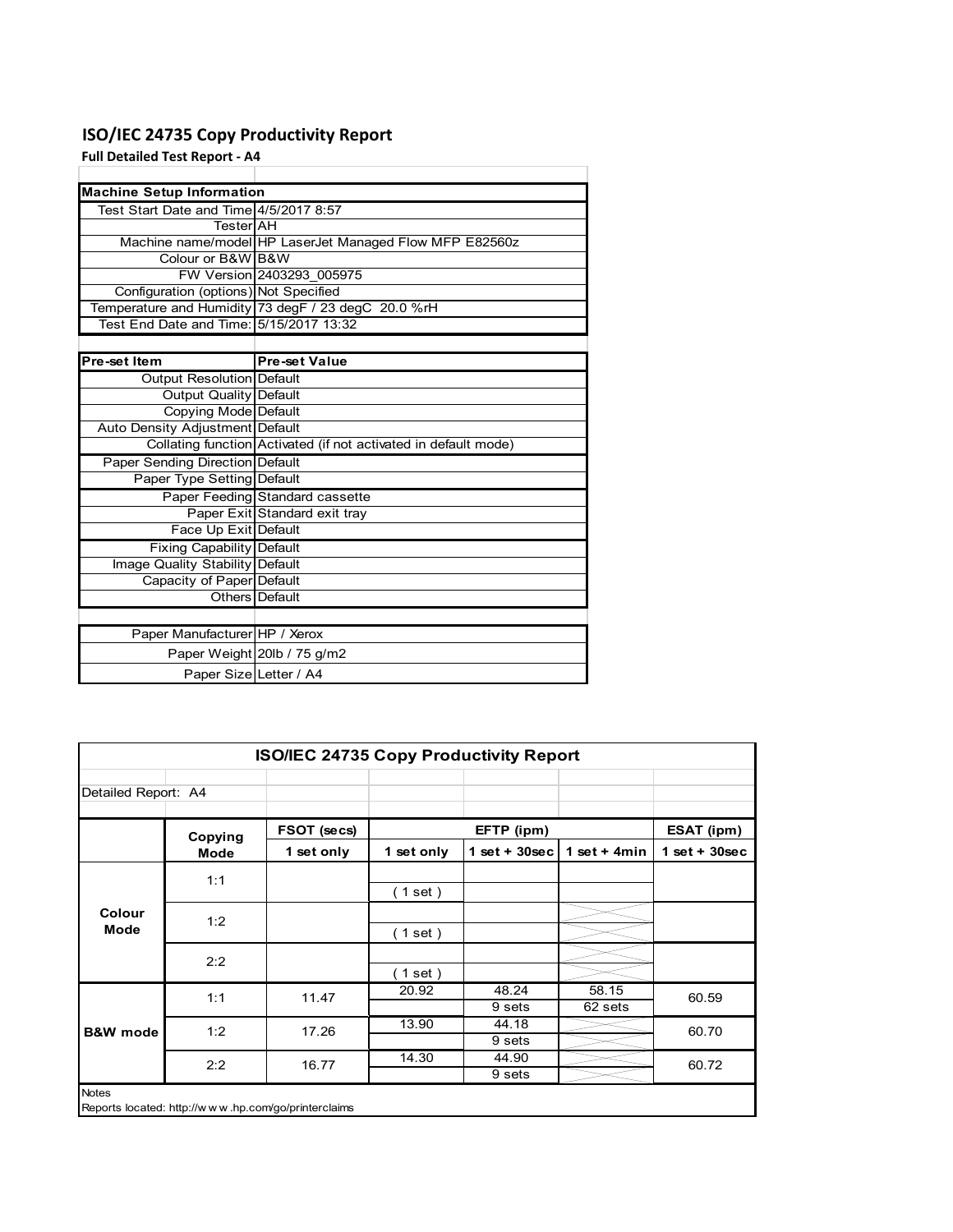# **ISO/IEC 24735 Copy Productivity Report**

**Full Detailed Test Report ‐ A4**

| <b>Machine Setup Information</b>        |                                                                 |
|-----------------------------------------|-----------------------------------------------------------------|
| Test Start Date and Time 4/5/2017 8:57  |                                                                 |
| TesterlAH                               |                                                                 |
|                                         | Machine name/model HP LaserJet Managed Flow MFP E82560z         |
| Colour or B&W B&W                       |                                                                 |
|                                         | FW Version 2403293 005975                                       |
| Configuration (options) Not Specified   |                                                                 |
|                                         | Temperature and Humidity 73 degF / 23 degC 20.0 %rH             |
| Test End Date and Time: 5/15/2017 13:32 |                                                                 |
|                                         |                                                                 |
| Pre-set Item                            | <b>Pre-set Value</b>                                            |
| Output Resolution Default               |                                                                 |
| <b>Output Quality Default</b>           |                                                                 |
| Copying Mode Default                    |                                                                 |
| Auto Density Adjustment Default         |                                                                 |
|                                         | Collating function Activated (if not activated in default mode) |
| <b>Paper Sending Direction Default</b>  |                                                                 |
| Paper Type Setting Default              |                                                                 |
|                                         | Paper Feeding Standard cassette                                 |
|                                         | Paper Exit Standard exit tray                                   |
| Face Up Exit Default                    |                                                                 |
| <b>Fixing Capability Default</b>        |                                                                 |
| Image Quality Stability Default         |                                                                 |
| Capacity of Paper Default               |                                                                 |
|                                         | Others Default                                                  |
|                                         |                                                                 |
| Paper Manufacturer HP / Xerox           |                                                                 |
|                                         | Paper Weight 20lb / 75 g/m2                                     |
| Paper Size Letter / A4                  |                                                                 |

| <b>ISO/IEC 24735 Copy Productivity Report</b> |         |                                                     |            |                 |                  |                 |  |
|-----------------------------------------------|---------|-----------------------------------------------------|------------|-----------------|------------------|-----------------|--|
| Detailed Report: A4                           |         |                                                     |            |                 |                  |                 |  |
|                                               | Copying | FSOT (secs)                                         |            | EFTP (ipm)      |                  | ESAT (ipm)      |  |
|                                               | Mode    | 1 set only                                          | 1 set only | $1$ set + 30sec | 1 set + $4min$   | $1$ set + 30sec |  |
|                                               | 1:1     |                                                     | (1 set)    |                 |                  |                 |  |
| Colour<br><b>Mode</b>                         | 1:2     |                                                     | (1 set)    |                 |                  |                 |  |
|                                               | 2:2     |                                                     | (1 set )   |                 |                  |                 |  |
|                                               | 1:1     | 11.47                                               | 20.92      | 48.24<br>9 sets | 58.15<br>62 sets | 60.59           |  |
| <b>B&amp;W</b> mode                           | 1:2     | 17.26                                               | 13.90      | 44.18<br>9 sets |                  | 60.70           |  |
|                                               | 2:2     | 16.77                                               | 14.30      | 44.90<br>9 sets |                  | 60.72           |  |
| <b>Notes</b>                                  |         | Reports located: http://www.hp.com/go/printerclaims |            |                 |                  |                 |  |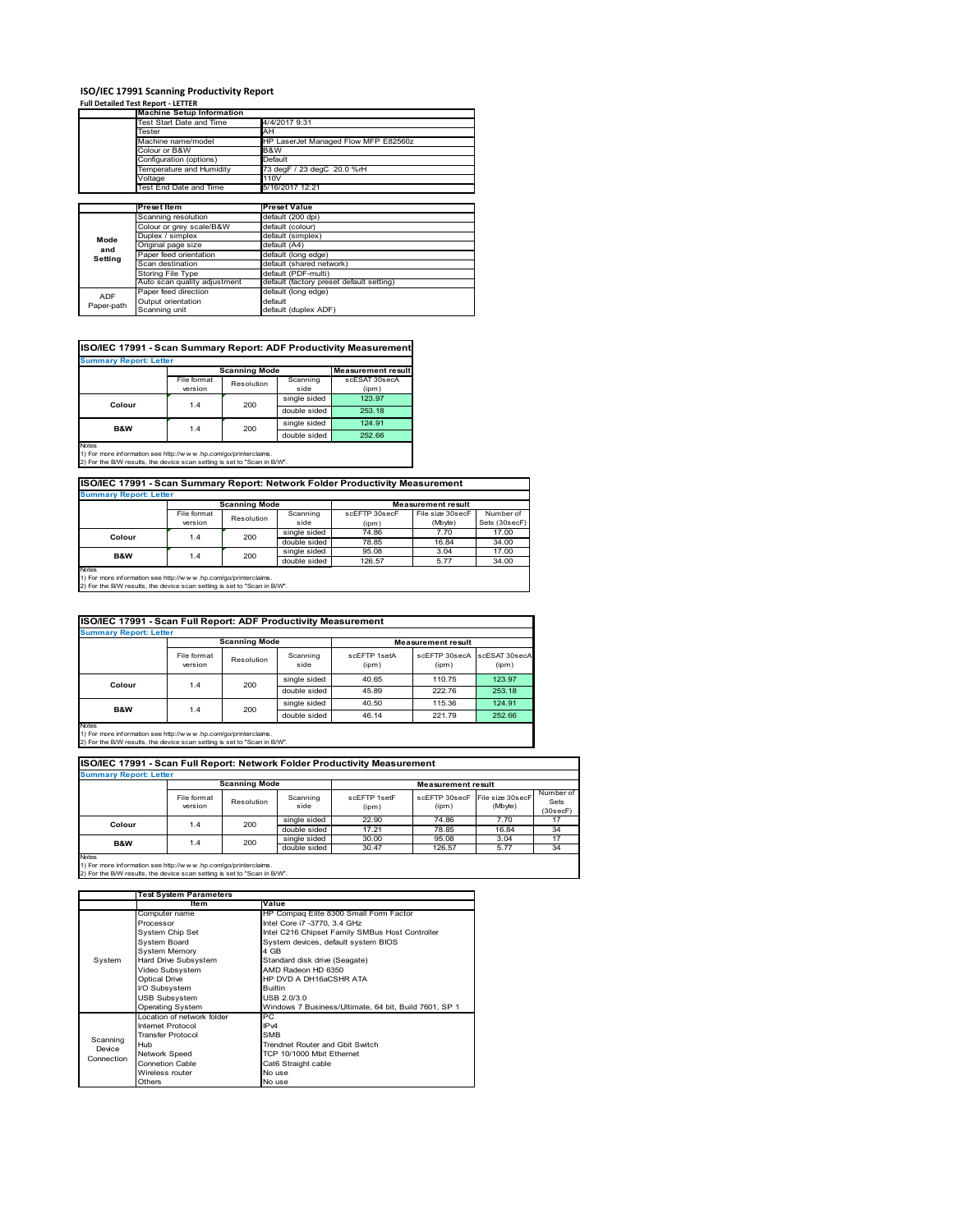# **ISO/IEC 17991 Scanning Productivity Report Full Detailed Test Report ‐ LETTER**

|            | <b>Machine Setup Information</b> |                                          |  |  |  |  |
|------------|----------------------------------|------------------------------------------|--|--|--|--|
|            | Test Start Date and Time         | 4/4/2017 9:31                            |  |  |  |  |
|            | Tester                           | AH                                       |  |  |  |  |
|            | Machine name/model               | HP LaserJet Managed Flow MFP E82560z     |  |  |  |  |
|            | Colour or B&W                    | B&W                                      |  |  |  |  |
|            | Configuration (options)          | Default                                  |  |  |  |  |
|            | Temperature and Humidity         | 73 degF / 23 degC 20.0 %rH               |  |  |  |  |
|            | Voltage                          | 110V                                     |  |  |  |  |
|            | Test End Date and Time           | 5/16/2017 12:21                          |  |  |  |  |
|            |                                  |                                          |  |  |  |  |
|            | Preset Item                      | <b>Preset Value</b>                      |  |  |  |  |
|            | Scanning resolution              | default (200 dpi)                        |  |  |  |  |
|            | Colour or grey scale/B&W         | default (colour)                         |  |  |  |  |
| Mode       | Duplex / simplex                 | default (simplex)                        |  |  |  |  |
| and        | Original page size               | default (A4)                             |  |  |  |  |
| Setting    | Paper feed orientation           | default (long edge)                      |  |  |  |  |
|            | Scan destination                 | default (shared network)                 |  |  |  |  |
|            | <b>Storing File Type</b>         | default (PDF-multi)                      |  |  |  |  |
|            | Auto scan quality adjustment     | default (factory preset default setting) |  |  |  |  |
| <b>ADF</b> | Paper feed direction             | default (long edge)                      |  |  |  |  |
|            | Output orientation               | default                                  |  |  |  |  |
| Paper-path |                                  |                                          |  |  |  |  |

| <b>Summary Report: Letter</b> |             |                      |              |                           |  |  |  |  |
|-------------------------------|-------------|----------------------|--------------|---------------------------|--|--|--|--|
|                               |             | <b>Scanning Mode</b> |              | <b>Measurement result</b> |  |  |  |  |
|                               | File format | Resolution           | Scanning     | scESAT 30secA             |  |  |  |  |
|                               | version     |                      | side         | (ipm)                     |  |  |  |  |
| Colour                        | 1.4         | 200                  | single sided | 123.97                    |  |  |  |  |
|                               |             |                      | double sided | 253.18                    |  |  |  |  |
|                               | 1.4         | 200                  | single sided | 124.91                    |  |  |  |  |
| B&W                           |             |                      | double sided | 252.66                    |  |  |  |  |

Notes 1) For more information see http://w w w .hp.com/go/printerclaims. 2) For the B/W results, the device scan setting is set to "Scan in B/W".

**ISO/IEC 17991 - Scan Summary Report: Network Folder Productivity Measurement**

| <b>Summary Report: Letter</b> |                      |            |              |                           |                  |               |  |
|-------------------------------|----------------------|------------|--------------|---------------------------|------------------|---------------|--|
|                               | <b>Scanning Mode</b> |            |              | <b>Measurement result</b> |                  |               |  |
|                               | File format          | Resolution | Scanning     | scEFTP 30secF             | File size 30secF | Number of     |  |
|                               | version              |            | side         | (ipm)                     | (Mbyte)          | Sets (30secF) |  |
| Colour                        | 1.4                  | 200        | single sided | 74.86                     | 7.70             | 17.00         |  |
|                               |                      |            | double sided | 78.85                     | 16.84            | 34.00         |  |
| <b>B&amp;W</b>                | 1.4                  | 200        | single sided | 95.08                     | 3.04             | 17.00         |  |
|                               |                      |            | double sided | 126.57                    | 5.77             | 34.00         |  |
| Notes                         |                      |            |              |                           |                  |               |  |

┓

Notes 1) For more information see http://w w w .hp.com/go/printerclaims. 2) For the B/W results, the device scan setting is set to "Scan in B/W".

|                               | ISO/IEC 17991 - Scan Full Report: ADF Productivity Measurement |            |                  |                       |                        |                        |  |  |
|-------------------------------|----------------------------------------------------------------|------------|------------------|-----------------------|------------------------|------------------------|--|--|
| <b>Summary Report: Letter</b> |                                                                |            |                  |                       |                        |                        |  |  |
|                               | <b>Scanning Mode</b><br><b>Measurement result</b>              |            |                  |                       |                        |                        |  |  |
|                               | File format<br>version                                         | Resolution | Scanning<br>side | scFFTP 1setA<br>(ipm) | scEETP 30secA<br>(ipm) | scESAT 30secA<br>(ipm) |  |  |
| Colour                        | 1.4                                                            | 200        | single sided     | 40.65                 | 110.75                 | 123.97                 |  |  |
|                               |                                                                |            | double sided     | 45.89                 | 222.76                 | 253.18                 |  |  |
| <b>B&amp;W</b>                |                                                                |            | single sided     | 40.50                 | 115.36                 | 124.91                 |  |  |
|                               | 1.4                                                            | 200        | double sided     | 46.14                 | 221.79                 | 252.66                 |  |  |
| <b>Notes</b>                  |                                                                |            |                  |                       |                        |                        |  |  |

Notes 1) For more information see http://w w w .hp.com/go/printerclaims. 2) For the B/W results, the device scan setting is set to "Scan in B/W".

| ISO/IEC 17991 - Scan Full Report: Network Folder Productivity Measurement |                        |              |                  |                       |                        |                             |                               |  |
|---------------------------------------------------------------------------|------------------------|--------------|------------------|-----------------------|------------------------|-----------------------------|-------------------------------|--|
| <b>Summary Report: Letter</b>                                             |                        |              |                  |                       |                        |                             |                               |  |
| <b>Scanning Mode</b><br><b>Measurement result</b>                         |                        |              |                  |                       |                        |                             |                               |  |
|                                                                           | File format<br>version | Resolution   | Scanning<br>side | scFFTP 1setF<br>(ipm) | scEFTP 30secF<br>(ipm) | File size 30secF<br>(Mbyte) | Number of<br>Sets<br>(30secF) |  |
| Colour                                                                    | 1.4                    | 200          | single sided     | 22.90                 | 74.86                  | 7.70                        | 17                            |  |
|                                                                           |                        |              | double sided     | 17.21                 | 78.85                  | 16.84                       | 34                            |  |
| <b>B&amp;W</b><br>1.4                                                     | 200                    | single sided | 30.00            | 95.08                 | 3.04                   | 17                          |                               |  |
|                                                                           |                        |              | double sided     | 30.47                 | 126.57                 | 5.77                        | 34                            |  |
| <b>Notes</b>                                                              |                        |              |                  |                       |                        |                             |                               |  |

|            | <b>Test System Parameters</b> |                                                       |  |  |
|------------|-------------------------------|-------------------------------------------------------|--|--|
|            | Item                          | Value                                                 |  |  |
|            | Computer name                 | HP Compaq Elite 8300 Small Form Factor                |  |  |
|            | Processor                     | Intel Core i7 -3770, 3.4 GHz                          |  |  |
|            | System Chip Set               | Intel C216 Chipset Family SMBus Host Controller       |  |  |
|            | <b>System Board</b>           | System devices, default system BIOS                   |  |  |
|            | <b>System Memory</b>          | 4 GB                                                  |  |  |
| System     | Hard Drive Subsystem          | Standard disk drive (Seagate)                         |  |  |
|            | Video Subsystem               | AMD Radeon HD 6350                                    |  |  |
|            | <b>Optical Drive</b>          | HP DVD A DH16aCSHR ATA                                |  |  |
|            | I/O Subsystem                 | <b>Builtin</b>                                        |  |  |
|            | <b>USB Subsystem</b>          | USB 2.0/3.0                                           |  |  |
|            | <b>Operating System</b>       | Windows 7 Business/Ultimate, 64 bit, Build 7601, SP 1 |  |  |
|            | I ocation of network folder   | PC.                                                   |  |  |
|            | Internet Protocol             | IP <sub>v4</sub>                                      |  |  |
| Scanning   | <b>Transfer Protocol</b>      | <b>SMB</b>                                            |  |  |
| Device     | Hub                           | Trendnet Router and Gbit Switch                       |  |  |
| Connection | Network Speed                 | TCP 10/1000 Mbit Ethernet                             |  |  |
|            | <b>Connetion Cable</b>        | Cat6 Straight cable                                   |  |  |
|            | Wireless router               | No use                                                |  |  |
|            | Others                        | No use                                                |  |  |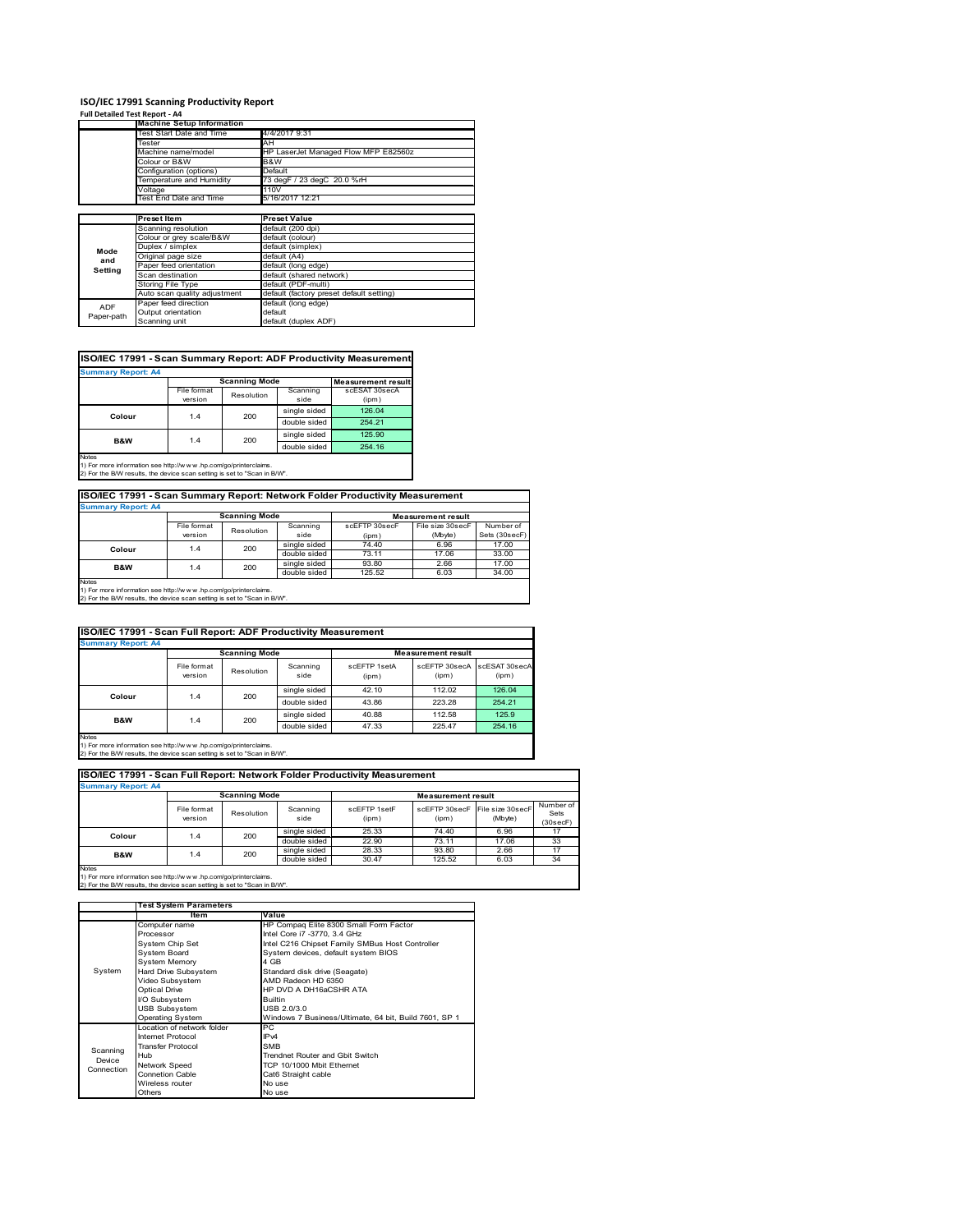#### **ISO/IEC 17991 Scanning Productivity Report Full Detailed Test Report ‐ A4**

|            | $1.911$ Detailed Test Report - A T |                                          |
|------------|------------------------------------|------------------------------------------|
|            | <b>Machine Setup Information</b>   |                                          |
|            | Test Start Date and Time           | 4/4/2017 9:31                            |
| Tester     |                                    | AH                                       |
|            | Machine name/model                 | HP LaserJet Managed Flow MFP E82560z     |
|            | Colour or B&W                      | B&W                                      |
|            | Configuration (options)            | Default                                  |
|            | Temperature and Humidity           | 73 degF / 23 degC 20.0 %rH               |
|            | Voltage                            | 110V                                     |
|            | Test End Date and Time             | 5/16/2017 12:21                          |
|            |                                    |                                          |
|            | <b>Preset Item</b>                 | <b>Preset Value</b>                      |
|            | Scanning resolution                | default (200 dpi)                        |
|            | Colour or grey scale/B&W           | default (colour)                         |
| Mode       | Duplex / simplex                   | default (simplex)                        |
| and        | Original page size                 | default (A4)                             |
| Setting    | Paper feed orientation             | default (long edge)                      |
|            | Scan destination                   | default (shared network)                 |
|            | <b>Storing File Type</b>           | default (PDF-multi)                      |
|            | Auto scan quality adjustment       | default (factory preset default setting) |
| ADF        | Paper feed direction               | default (long edge)                      |
| Paper-path | Output orientation                 | default                                  |
|            | Scanning unit                      | default (duplex ADF)                     |

## **ISO/IEC 17991 - Scan Summary Report: ADF Productivity Measurement**

| <b>Summary Report: A4</b> |                        |                      |                  |                           |  |  |  |
|---------------------------|------------------------|----------------------|------------------|---------------------------|--|--|--|
|                           |                        | <b>Scanning Mode</b> |                  | <b>Measurement result</b> |  |  |  |
|                           | File format<br>version | Resolution           | Scanning<br>side | scESAT 30secA<br>(ipm)    |  |  |  |
| Colour                    | 1.4                    | 200                  | single sided     | 126.04                    |  |  |  |
|                           |                        |                      | double sided     | 254.21                    |  |  |  |
| <b>B&amp;W</b>            | 1.4                    | 200                  | single sided     | 125.90                    |  |  |  |
|                           |                        |                      | double sided     | 254.16                    |  |  |  |
| <b>Notes</b>              |                        |                      |                  |                           |  |  |  |

1) For more information see http://w w w .hp.com/go/printerclaims. 2) For the B/W results, the device scan setting is set to "Scan in B/W".

# **ISO/IEC 17991 - Scan Summary Report: Network Folder Productivity Measurement Summary Report: A4**

| <b>BUILDIARY INCLUIL AT</b> |                      |            |              |               |                           |               |  |
|-----------------------------|----------------------|------------|--------------|---------------|---------------------------|---------------|--|
|                             | <b>Scanning Mode</b> |            |              |               | <b>Measurement result</b> |               |  |
|                             | File format          | Resolution | Scanning     | scEFTP 30secF | File size 30secF          | Number of     |  |
|                             | version              |            | side         | (ipm)         | (Mbyte)                   | Sets (30secF) |  |
| Colour                      | 1.4                  | 200        | single sided | 74.40         | 6.96                      | 17.00         |  |
|                             |                      |            | double sided | 73.11         | 17.06                     | 33.00         |  |
| B&W                         | 1.4                  | 200        | single sided | 93.80         | 2.66                      | 17.00         |  |
|                             |                      |            | double sided | 125.52        | 6.03                      | 34.00         |  |
| <b>Notes</b>                |                      |            |              |               |                           |               |  |

Notes 1) For more information see http://w w w .hp.com/go/printerclaims. 2) For the B/W results, the device scan setting is set to "Scan in B/W".

| ISO/IEC 17991 - Scan Full Report: ADF Productivity Measurement |                        |                      |                  |                       |                           |                        |  |  |
|----------------------------------------------------------------|------------------------|----------------------|------------------|-----------------------|---------------------------|------------------------|--|--|
| <b>Summary Report: A4</b>                                      |                        |                      |                  |                       |                           |                        |  |  |
|                                                                |                        | <b>Scanning Mode</b> |                  |                       | <b>Measurement result</b> |                        |  |  |
|                                                                | File format<br>version | Resolution           | Scanning<br>side | scFFTP 1setA<br>(ipm) | scEETP 30secA<br>(ipm)    | scESAT 30secA<br>(ipm) |  |  |
| Colour                                                         | 1.4                    | 200                  | single sided     | 42.10                 | 112.02                    | 126.04                 |  |  |
|                                                                |                        |                      | double sided     | 43.86                 | 223.28                    | 254.21                 |  |  |
| B&W                                                            |                        | 200                  | single sided     | 40.88                 | 112.58                    | 125.9                  |  |  |
|                                                                | 1.4                    |                      | double sided     | 47.33                 | 225.47                    | 254.16                 |  |  |
| Notes                                                          |                        |                      |                  |                       |                           |                        |  |  |

Notes 1) For more information see http://w w w .hp.com/go/printerclaims. 2) For the B/W results, the device scan setting is set to "Scan in B/W".

| ISO/IEC 17991 - Scan Full Report: Network Folder Productivity Measurement |                        |                      |                  |                       |                           |                                           |                               |  |
|---------------------------------------------------------------------------|------------------------|----------------------|------------------|-----------------------|---------------------------|-------------------------------------------|-------------------------------|--|
| <b>Summary Report: A4</b>                                                 |                        |                      |                  |                       |                           |                                           |                               |  |
|                                                                           |                        | <b>Scanning Mode</b> |                  |                       | <b>Measurement result</b> |                                           |                               |  |
|                                                                           | File format<br>version | Resolution           | Scanning<br>side | scFFTP 1setF<br>(ipm) | (ipm)                     | scEFTP 30secF File size 30secF<br>(Mbyte) | Number of<br>Sets<br>(30secF) |  |
| Colour                                                                    | 1.4                    | 200                  | single sided     | 25.33                 | 74.40                     | 6.96                                      | 17                            |  |
|                                                                           |                        |                      | double sided     | 22.90                 | 73.11                     | 17.06                                     | 33                            |  |
| <b>B&amp;W</b><br>1.4                                                     |                        | 200                  | single sided     | 28.33                 | 93.80                     | 2.66                                      | 17                            |  |
|                                                                           |                        |                      | double sided     | 30.47                 | 125.52                    | 6.03                                      | 34                            |  |
| <b>Notes</b>                                                              |                        |                      |                  |                       |                           |                                           |                               |  |

|            | <b>Test System Parameters</b> |                                                       |  |  |
|------------|-------------------------------|-------------------------------------------------------|--|--|
|            | ltem                          | Value                                                 |  |  |
|            | Computer name                 | HP Compaq Elite 8300 Small Form Factor                |  |  |
|            | Processor                     | Intel Core i7 -3770, 3.4 GHz                          |  |  |
|            | System Chip Set               | Intel C216 Chipset Family SMBus Host Controller       |  |  |
|            | System Board                  | System devices, default system BIOS                   |  |  |
|            | <b>System Memory</b>          | 4 GB                                                  |  |  |
| System     | Hard Drive Subsystem          | Standard disk drive (Seagate)                         |  |  |
|            | Video Subsystem               | AMD Radeon HD 6350                                    |  |  |
|            | <b>Optical Drive</b>          | HP DVD A DH16aCSHR ATA                                |  |  |
|            | I/O Subsystem                 | <b>Builtin</b>                                        |  |  |
|            | <b>USB Subsystem</b>          | USB 2.0/3.0                                           |  |  |
|            | <b>Operating System</b>       | Windows 7 Business/Ultimate, 64 bit, Build 7601, SP 1 |  |  |
|            | I ocation of network folder   | РC                                                    |  |  |
|            | <b>Internet Protocol</b>      | IP <sub>v4</sub>                                      |  |  |
| Scanning   | <b>Transfer Protocol</b>      | <b>SMB</b>                                            |  |  |
| Device     | Hub                           | Trendnet Router and Gbit Switch                       |  |  |
|            | Network Speed                 | TCP 10/1000 Mbit Ethernet                             |  |  |
| Connection | <b>Connetion Cable</b>        | Cat6 Straight cable                                   |  |  |
|            | Wireless router               | No use                                                |  |  |
|            | Others                        | No use                                                |  |  |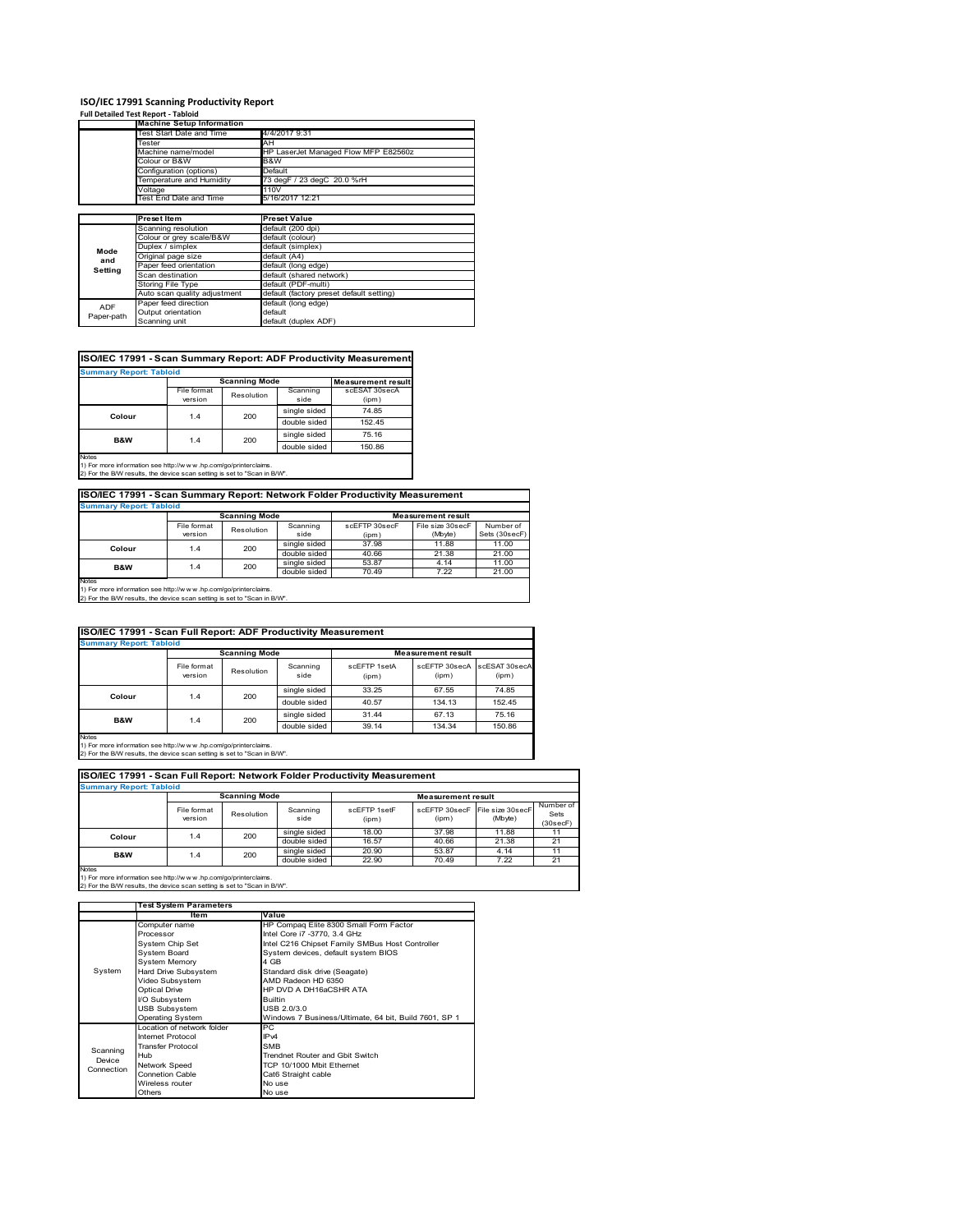#### **ISO/IEC 17991 Scanning Productivity Report Full Detailed Test Report ‐ Tabloid**

|            | <u>ruli Detalieu Test Report - Tabloiu</u> |                                          |  |  |  |  |  |
|------------|--------------------------------------------|------------------------------------------|--|--|--|--|--|
|            | <b>Machine Setup Information</b>           |                                          |  |  |  |  |  |
|            | Test Start Date and Time                   | 4/4/2017 9:31                            |  |  |  |  |  |
|            | Tester                                     | AH                                       |  |  |  |  |  |
|            | Machine name/model                         | HP LaserJet Managed Flow MFP E82560z     |  |  |  |  |  |
|            | Colour or B&W                              | B&W                                      |  |  |  |  |  |
|            | Configuration (options)                    | Default                                  |  |  |  |  |  |
|            | Temperature and Humidity                   | 73 degF / 23 degC 20.0 %rH               |  |  |  |  |  |
|            | Voltage                                    | 110V                                     |  |  |  |  |  |
|            | Test End Date and Time                     | 5/16/2017 12:21                          |  |  |  |  |  |
|            |                                            |                                          |  |  |  |  |  |
|            | <b>Preset Item</b>                         | <b>Preset Value</b>                      |  |  |  |  |  |
|            | Scanning resolution                        | default (200 dpi)                        |  |  |  |  |  |
|            | Colour or grey scale/B&W                   | default (colour)                         |  |  |  |  |  |
| Mode       | Duplex / simplex                           | default (simplex)                        |  |  |  |  |  |
| and        | Original page size                         | default (A4)                             |  |  |  |  |  |
| Setting    | Paper feed orientation                     | default (long edge)                      |  |  |  |  |  |
|            | Scan destination                           | default (shared network)                 |  |  |  |  |  |
|            | Storing File Type                          | default (PDF-multi)                      |  |  |  |  |  |
|            | Auto scan quality adjustment               | default (factory preset default setting) |  |  |  |  |  |
| <b>ADF</b> | Paper feed direction                       | default (long edge)                      |  |  |  |  |  |
| Paper-path | Output orientation                         | default                                  |  |  |  |  |  |
|            | Scanning unit                              | default (duplex ADF)                     |  |  |  |  |  |

## **ISO/IEC 17991 - Scan Summary Report: ADF Productivity Measurement**

| <b>Summary Report: Tabloid</b> |                        |                      |                  |                           |  |  |
|--------------------------------|------------------------|----------------------|------------------|---------------------------|--|--|
|                                |                        | <b>Scanning Mode</b> |                  | <b>Measurement result</b> |  |  |
|                                | File format<br>version | Resolution           | Scanning<br>side | scESAT 30secA<br>(ipm)    |  |  |
|                                | 1.4                    |                      | single sided     | 74.85                     |  |  |
| Colour                         |                        | 200                  | double sided     | 152.45                    |  |  |
| <b>B&amp;W</b>                 | 1.4                    | 200                  | single sided     | 75.16                     |  |  |
|                                |                        |                      | double sided     | 150.86                    |  |  |
| <b>Notes</b>                   |                        |                      |                  |                           |  |  |

Notes 1) For more information see http://w w w .hp.com/go/printerclaims. 2) For the B/W results, the device scan setting is set to "Scan in B/W".

## **ISO/IEC 17991 - Scan Summary Report: Network Folder Productivity Measurement**

| <b>Summary Report: Tabloid</b> |                      |            |              |                           |                  |               |
|--------------------------------|----------------------|------------|--------------|---------------------------|------------------|---------------|
|                                | <b>Scanning Mode</b> |            |              | <b>Measurement result</b> |                  |               |
|                                | File format          | Resolution | Scanning     | scEFTP 30secF             | File size 30secF | Number of     |
|                                | version              |            | side         | (ipm)                     | (Mbyte)          | Sets (30secF) |
| Colour                         | 1.4                  | 200        | single sided | 37.98                     | 11.88            | 11.00         |
|                                |                      |            | double sided | 40.66                     | 21.38            | 21.00         |
|                                | B&W<br>1.4           | 200        | single sided | 53.87                     | 4.14             | 11.00         |
|                                |                      |            | double sided | 70.49                     | 7.22             | 21.00         |
| Notes                          |                      |            |              |                           |                  |               |

Notes 1) For more information see http://w w w .hp.com/go/printerclaims. 2) For the B/W results, the device scan setting is set to "Scan in B/W".

| <b>ISO/IEC 17991 - Scan Full Report: ADF Productivity Measurement</b> |                        |            |                  |                       |                                      |        |  |  |
|-----------------------------------------------------------------------|------------------------|------------|------------------|-----------------------|--------------------------------------|--------|--|--|
| <b>Summary Report: Tabloid</b>                                        |                        |            |                  |                       |                                      |        |  |  |
|                                                                       | <b>Scanning Mode</b>   |            |                  |                       | <b>Measurement result</b>            |        |  |  |
|                                                                       | File format<br>version | Resolution | Scanning<br>side | scFFTP 1setA<br>(ipm) | scEFTP 30secA scESAT 30secA<br>(ipm) | (ipm)  |  |  |
| Colour                                                                | 1.4                    | 200        | single sided     | 33.25                 | 67.55                                | 74.85  |  |  |
|                                                                       |                        |            | double sided     | 40.57                 | 134.13                               | 152.45 |  |  |
| B&W                                                                   | 1.4                    | 200        | single sided     | 31.44                 | 67.13                                | 75.16  |  |  |
|                                                                       |                        |            | double sided     | 39.14                 | 134.34                               | 150.86 |  |  |
| Notes                                                                 |                        |            |                  |                       |                                      |        |  |  |

Notes 1) For more information see http://w w w .hp.com/go/printerclaims. 2) For the B/W results, the device scan setting is set to "Scan in B/W".

| ISO/IEC 17991 - Scan Full Report: Network Folder Productivity Measurement |                        |                      |                  |                       |                                         |         |                               |  |
|---------------------------------------------------------------------------|------------------------|----------------------|------------------|-----------------------|-----------------------------------------|---------|-------------------------------|--|
| <b>Summary Report: Tabloid</b>                                            |                        |                      |                  |                       |                                         |         |                               |  |
|                                                                           |                        | <b>Scanning Mode</b> |                  |                       | <b>Measurement result</b>               |         |                               |  |
|                                                                           | File format<br>version | Resolution           | Scanning<br>side | scFFTP 1setF<br>(ipm) | scEFTP 30secF File size 30secF<br>(ipm) | (Mbyte) | Number of<br>Sets<br>(30secF) |  |
| Colour                                                                    | 1.4                    | 200                  | single sided     | 18.00                 | 37.98                                   | 11.88   | 11                            |  |
|                                                                           |                        |                      | double sided     | 16.57                 | 40.66                                   | 21.38   | 21                            |  |
| <b>B&amp;W</b><br>1.4                                                     | 200                    | single sided         | 20.90            | 53.87                 | 4.14                                    | 11      |                               |  |
|                                                                           |                        |                      | double sided     | 22.90                 | 70.49                                   | 7.22    | 21                            |  |
| <b>Notes</b>                                                              |                        |                      |                  |                       |                                         |         |                               |  |

|            | <b>Test System Parameters</b> |                                                       |  |  |
|------------|-------------------------------|-------------------------------------------------------|--|--|
|            | Item                          | Value                                                 |  |  |
|            | Computer name                 | HP Compaq Elite 8300 Small Form Factor                |  |  |
|            | Processor                     | Intel Core i7 -3770, 3.4 GHz                          |  |  |
|            | <b>System Chip Set</b>        | Intel C216 Chipset Family SMBus Host Controller       |  |  |
|            | <b>System Board</b>           | System devices, default system BIOS                   |  |  |
|            | <b>System Memory</b>          | 4 GB                                                  |  |  |
| System     | Hard Drive Subsystem          | Standard disk drive (Seagate)                         |  |  |
|            | Video Subsystem               | AMD Radeon HD 6350                                    |  |  |
|            | <b>Optical Drive</b>          | HP DVD A DH16aCSHR ATA                                |  |  |
|            | I/O Subsystem                 | <b>Builtin</b>                                        |  |  |
|            | <b>USB Subsystem</b>          | USB 2.0/3.0                                           |  |  |
|            | Operating System              | Windows 7 Business/Ultimate, 64 bit, Build 7601, SP 1 |  |  |
|            | Location of network folder    | РC                                                    |  |  |
|            | Internet Protocol             | IP <sub>v4</sub>                                      |  |  |
| Scanning   | <b>Transfer Protocol</b>      | <b>SMB</b>                                            |  |  |
| Device     | Hub                           | Trendnet Router and Gbit Switch                       |  |  |
|            | Network Speed                 | TCP 10/1000 Mbit Ethernet                             |  |  |
| Connection | <b>Connetion Cable</b>        | Cat6 Straight cable                                   |  |  |
|            | Wireless router               | No use                                                |  |  |
|            | Others                        | No use                                                |  |  |